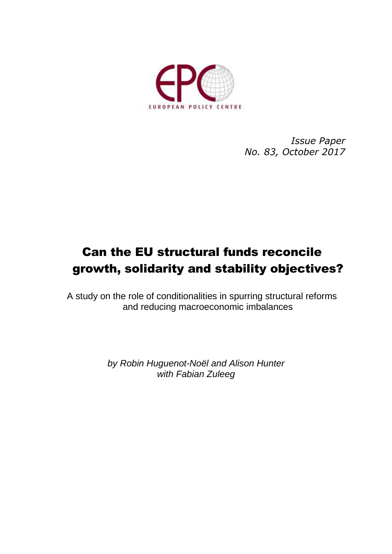

*Issue Paper No. 83, October 2017*

# Can the EU structural funds reconcile growth, solidarity and stability objectives?

A study on the role of conditionalities in spurring structural reforms and reducing macroeconomic imbalances

> *by Robin Huguenot-Noël and Alison Hunter with Fabian Zuleeg*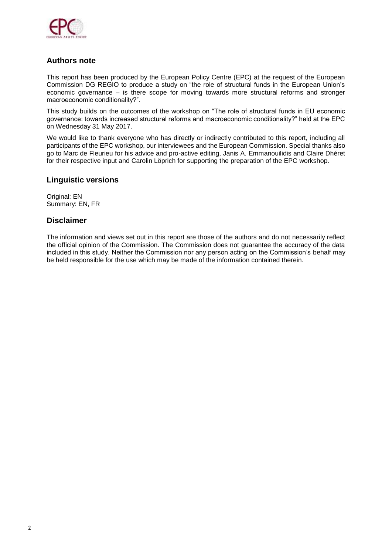

### **Authors note**

This report has been produced by the European Policy Centre (EPC) at the request of the European Commission DG REGIO to produce a study on "the role of structural funds in the European Union's economic governance – is there scope for moving towards more structural reforms and stronger macroeconomic conditionality?".

This study builds on the outcomes of the workshop on "The role of structural funds in EU economic governance: towards increased structural reforms and macroeconomic conditionality?" held at the EPC on Wednesday 31 May 2017.

We would like to thank everyone who has directly or indirectly contributed to this report, including all participants of the EPC workshop, our interviewees and the European Commission. Special thanks also go to Marc de Fleurieu for his advice and pro-active editing, Janis A. Emmanouilidis and Claire Dhéret for their respective input and Carolin Löprich for supporting the preparation of the EPC workshop.

### **Linguistic versions**

Original: EN Summary: EN, FR

### **Disclaimer**

The information and views set out in this report are those of the authors and do not necessarily reflect the official opinion of the Commission. The Commission does not guarantee the accuracy of the data included in this study. Neither the Commission nor any person acting on the Commission's behalf may be held responsible for the use which may be made of the information contained therein.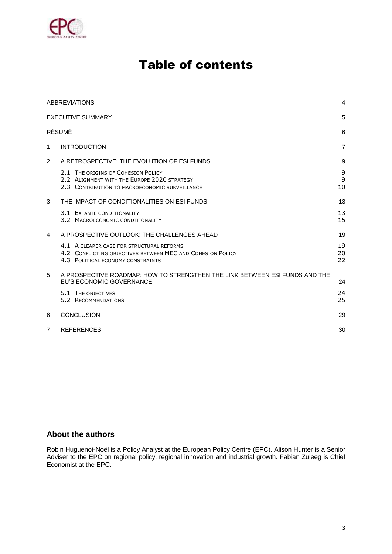

## Table of contents

|                | <b>ABBREVIATIONS</b>                                                                                                                         | 4              |
|----------------|----------------------------------------------------------------------------------------------------------------------------------------------|----------------|
|                | <b>EXECUTIVE SUMMARY</b>                                                                                                                     | 5              |
|                | RÉSUMÉ                                                                                                                                       | 6              |
| $\mathbf{1}$   | <b>INTRODUCTION</b>                                                                                                                          | $\overline{7}$ |
| 2              | A RETROSPECTIVE: THE EVOLUTION OF ESI FUNDS                                                                                                  | 9              |
|                | 2.1 THE ORIGINS OF COHESION POLICY<br>2.2 ALIGNMENT WITH THE EUROPE 2020 STRATEGY<br>2.3 CONTRIBUTION TO MACROECONOMIC SURVEILLANCE          | 9<br>9<br>10   |
| 3              | THE IMPACT OF CONDITIONALITIES ON ESI FUNDS                                                                                                  | 13             |
|                | 3.1 EX-ANTE CONDITIONALITY<br>3.2 MACROECONOMIC CONDITIONALITY                                                                               | 13<br>15       |
| 4              | A PROSPECTIVE OUTLOOK: THE CHALLENGES AHEAD                                                                                                  | 19             |
|                | 4.1 A CLEARER CASE FOR STRUCTURAL REFORMS<br>4.2 CONFLICTING OBJECTIVES BETWEEN MEC AND COHESION POLICY<br>4.3 POLITICAL ECONOMY CONSTRAINTS | 19<br>20<br>22 |
| 5              | A PROSPECTIVE ROADMAP: HOW TO STRENGTHEN THE LINK BETWEEN ESI FUNDS AND THE<br>EU'S ECONOMIC GOVERNANCE                                      | 24             |
|                | 5.1 THE OBJECTIVES<br>5.2 RECOMMENDATIONS                                                                                                    | 24<br>25       |
| 6              | <b>CONCLUSION</b>                                                                                                                            | 29             |
| $\overline{7}$ | <b>REFERENCES</b>                                                                                                                            | 30             |

### **About the authors**

Robin Huguenot-Noël is a Policy Analyst at the European Policy Centre (EPC). Alison Hunter is a Senior Adviser to the EPC on regional policy, regional innovation and industrial growth. Fabian Zuleeg is Chief Economist at the EPC.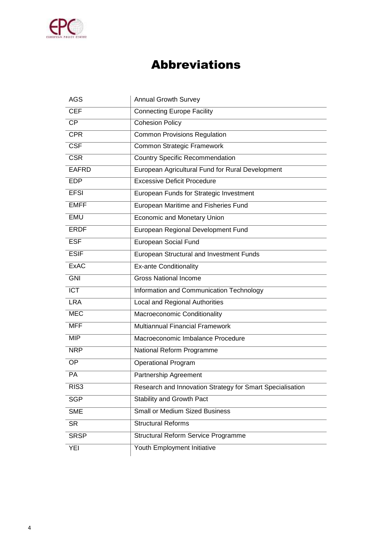

## Abbreviations

| <b>AGS</b>       | <b>Annual Growth Survey</b>                               |
|------------------|-----------------------------------------------------------|
| <b>CEF</b>       | <b>Connecting Europe Facility</b>                         |
| $\overline{CP}$  | <b>Cohesion Policy</b>                                    |
| <b>CPR</b>       | <b>Common Provisions Regulation</b>                       |
| <b>CSF</b>       | Common Strategic Framework                                |
| <b>CSR</b>       | <b>Country Specific Recommendation</b>                    |
| <b>EAFRD</b>     | European Agricultural Fund for Rural Development          |
| <b>EDP</b>       | <b>Excessive Deficit Procedure</b>                        |
| <b>EFSI</b>      | European Funds for Strategic Investment                   |
| <b>EMFF</b>      | European Maritime and Fisheries Fund                      |
| EMU              | <b>Economic and Monetary Union</b>                        |
| <b>ERDF</b>      | European Regional Development Fund                        |
| <b>ESF</b>       | European Social Fund                                      |
| <b>ESIF</b>      | European Structural and Investment Funds                  |
| <b>ExAC</b>      | <b>Ex-ante Conditionality</b>                             |
| <b>GNI</b>       | <b>Gross National Income</b>                              |
| <b>ICT</b>       | Information and Communication Technology                  |
| <b>LRA</b>       | Local and Regional Authorities                            |
| <b>MEC</b>       | Macroeconomic Conditionality                              |
| <b>MFF</b>       | <b>Multiannual Financial Framework</b>                    |
| <b>MIP</b>       | Macroeconomic Imbalance Procedure                         |
| <b>NRP</b>       | National Reform Programme                                 |
| <b>OP</b>        | <b>Operational Program</b>                                |
| PA               | Partnership Agreement                                     |
| RIS <sub>3</sub> | Research and Innovation Strategy for Smart Specialisation |
| <b>SGP</b>       | Stability and Growth Pact                                 |
| <b>SME</b>       | <b>Small or Medium Sized Business</b>                     |
| <b>SR</b>        | <b>Structural Reforms</b>                                 |
| <b>SRSP</b>      | Structural Reform Service Programme                       |
| <b>YEI</b>       | Youth Employment Initiative                               |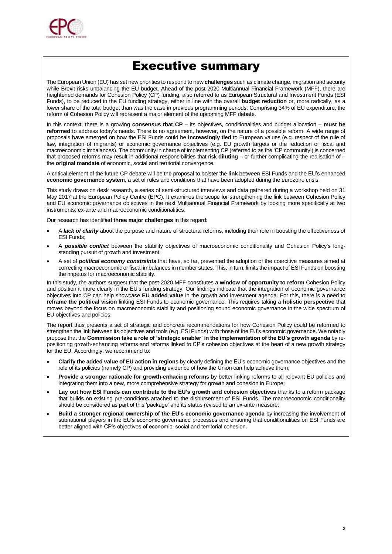

## Executive summary

The European Union (EU) has set new priorities to respond to new **challenges** such as climate change, migration and security while Brexit risks unbalancing the EU budget. Ahead of the post-2020 Multiannual Financial Framework (MFF), there are heightened demands for Cohesion Policy (CP) funding, also referred to as European Structural and Investment Funds (ESI Funds), to be reduced in the EU funding strategy, either in line with the overall **budget reduction** or, more radically, as a lower share of the total budget than was the case in previous programming periods. Comprising 34% of EU expenditure, the reform of Cohesion Policy will represent a major element of the upcoming MFF debate.

In this context, there is a growing **consensus that CP** – its objectives, conditionalities and budget allocation – **must be reformed** to address today's needs. There is no agreement, however, on the nature of a possible reform. A wide range of proposals have emerged on how the ESI Funds could be **increasingly tied** to European values (e.g. respect of the rule of law, integration of migrants) or economic governance objectives (e.g. EU growth targets or the reduction of fiscal and macroeconomic imbalances). The community in charge of implementing CP (referred to as the 'CP community') is concerned that proposed reforms may result in additional responsibilities that risk **diluting** – or further complicating the realisation of – the **original mandate** of economic, social and territorial convergence.

A critical element of the future CP debate will be the proposal to bolster the **link** between ESI Funds and the EU's enhanced **economic governance system**, a set of rules and conditions that have been adopted during the eurozone crisis.

This study draws on desk research, a series of semi-structured interviews and data gathered during a workshop held on 31 May 2017 at the European Policy Centre (EPC). It examines the scope for strengthening the link between Cohesion Policy and EU economic governance objectives in the next Multiannual Financial Framework by looking more specifically at two instruments: ex-ante and macroeconomic conditionalities.

Our research has identified **three major challenges** in this regard:

- A *lack of clarity* about the purpose and nature of structural reforms, including their role in boosting the effectiveness of ESI Funds;
- A *possible conflict* between the stability objectives of macroeconomic conditionality and Cohesion Policy's longstanding pursuit of growth and investment;
- A set of *political economy constraints* that have, so far, prevented the adoption of the coercitive measures aimed at correcting macroeconomic or fiscal imbalances in member states. This, in turn, limits the impact of ESI Funds on boosting the impetus for macroeconomic stability.

In this study, the authors suggest that the post-2020 MFF constitutes a **window of opportunity to reform** Cohesion Policy and position it more clearly in the EU's funding strategy. Our findings indicate that the integration of economic governance objectives into CP can help showcase **EU added value** in the growth and investment agenda. For this, there is a need to **reframe the political vision** linking ESI Funds to economic governance. This requires taking a **holistic perspective** that moves beyond the focus on macroeconomic stability and positioning sound economic governance in the wide spectrum of EU objectives and policies.

The report thus presents a set of strategic and concrete recommendations for how Cohesion Policy could be reformed to strengthen the link between its objectives and tools (e.g. ESI Funds) with those of the EU's economic governance. We notably propose that the **Commission take a role of 'strategic enabler' in the implementation of the EU's growth agenda** by repositioning growth-enhancing reforms and reforms linked to CP's cohesion objectives at the heart of a new growth strategy for the EU. Accordingly, we recommend to:

- **Clarify the added value of EU action in regions** by clearly defining the EU's economic governance objectives and the role of its policies (namely CP) and providing evidence of how the Union can help achieve them;
- **Provide a stronger rationale for growth-enhacing reforms** by better linking reforms to all relevant EU policies and integrating them into a new, more comprehensive strategy for growth and cohesion in Europe;
- **Lay out how ESI Funds can contribute to the EU's growth and cohesion objectives** thanks to a reform package that builds on existing pre-conditions attached to the disbursement of ESI Funds. The macroeconomic conditionality should be considered as part of this 'package' and its status revised to an ex-ante measure;
- **Build a stronger regional ownership of the EU's economic governance agenda** by increasing the involvement of subnational players in the EU's economic governance processes and ensuring that conditionalities on ESI Funds are better aligned with CP's objectives of economic, social and territorial cohesion.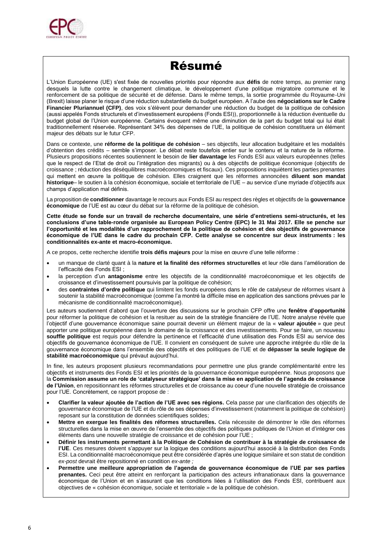

## Résumé

L'Union Européenne (UE) s'est fixée de nouvelles priorités pour répondre aux **défis** de notre temps, au premier rang desquels la lutte contre le changement climatique, le développement d'une politique migratoire commune et le renforcement de sa politique de sécurité et de défense. Dans le même temps, la sortie programmée du Royaume-Uni (Brexit) laisse planer le risque d'une réduction substantielle du budget européen. A l'aube des **négociations sur le Cadre Financier Pluriannuel (CFP)**, des voix s'élèvent pour demander une réduction du budget de la politique de cohésion (aussi appelés Fonds structurels et d'investissement européens (Fonds ESI)), proportionnelle à la réduction éventuelle du budget global de l'Union européenne. Certains évoquent même une diminution de la part du budget total qui lui était traditionnellement réservée. Représentant 34% des dépenses de l'UE, la politique de cohésion constituera un élément majeur des débats sur le futur CFP.

Dans ce contexte, une **réforme de la politique de cohésion** – ses objectifs, leur allocation budgétaire et les modalités d'obtention des crédits – semble s'imposer. Le débat reste toutefois entier sur le contenu et la nature de la réforme. Plusieurs propositions récentes soutiennent le besoin de **lier davantage** les Fonds ESI aux valeurs européennes (telles que le respect de l'Etat de droit ou l'intégration des migrants) ou à des objectifs de politique économique (objectifs de croissance ; réduction des déséquilibres macroéconomiques et fiscaux). Ces propositions inquiètent les parties prenantes qui mettent en œuvre la politique de cohésion. Elles craignent que les réformes annoncées **diluent son mandat historique**– le soutien à la cohésion économique, sociale et territoriale de l'UE – au service d'une myriade d'objectifs aux champs d'application mal définis.

La proposition de **conditionner** davantage le recours aux Fonds ESI au respect des règles et objectifs de la **gouvernance économique** de l'UE est au cœur du débat sur la réforme de la politique de cohésion.

**Cette étude se fonde sur un travail de recherche documentaire, une série d'entretiens semi-structurés, et les conclusions d'une table-ronde organisée au European Policy Centre (EPC) le 31 Mai 2017. Elle se penche sur l'opportunité et les modalités d'un rapprochement de la politique de cohésion et des objectifs de gouvernance économique de l'UE dans le cadre du prochain CFP. Cette analyse se concentre sur deux instruments : les conditionnalités ex-ante et macro-économique.** 

A ce propos, cette recherche identifie **trois défis majeurs** pour la mise en œuvre d'une telle réforme :

- un manque de clarté quant à la **nature et la finalité des réformes structurelles** et leur rôle dans l'amélioration de l'efficacité des Fonds ESI ;
- la perception d'un **antagonisme** entre les objectifs de la conditionnalité macroéconomique et les objectifs de croissance et d'investissement poursuivis par la politique de cohésion;
- des **contraintes d'ordre politique** qui limitent les fonds européens dans le rôle de catalyseur de réformes visant à soutenir la stabilité macroéconomique (comme l'a montré la difficile mise en application des sanctions prévues par le mécanisme de conditionnalité macroéconomique).

Les auteurs soutiennent d'abord que l'ouverture des discussions sur le prochain CFP offre une **fenêtre d'opportunité** pour réformer la politique de cohésion et la resituer au sein de la stratégie financière de l'UE. Notre analyse révèle que l'objectif d'une gouvernance économique saine pourrait devenir un élément majeur de la « **valeur ajoutée** » que peut apporter une politique européenne dans le domaine de la croissance et des investissements. Pour se faire, un nouveau **souffle politique** est requis pour défendre la pertinence et l'efficacité d'une utilisation des Fonds ESI au service des objectifs de gouvernance économique de l'UE. Il convient en conséquent de suivre une approche intégrée du rôle de la gouvernance économique dans l'ensemble des objectifs et des politiques de l'UE et de **dépasser la seule logique de stabilité macroéconomique** qui prévaut aujourd'hui.

In fine, les auteurs proposent plusieurs recommandations pour permettre une plus grande complémentarité entre les objectifs et instruments des Fonds ESI et les priorités de la gouvernance économique européenne. Nous proposons que la **Commission assume un role de 'catalyseur stratégique' dans la mise en application de l'agenda de croissance de l'Union**, en repositionnant les réformes structurelles et de croissance au coeur d'une nouvelle stratégie de croissance pour l'UE. Concrètement, ce rapport propose de :

- **Clarifier la valeur ajoutée de l'action de l'UE avec ses régions.** Cela passe par une clarification des objectifs de gouvernance économique de l'UE et du rôle de ses dépenses d'investissement (notamment la politique de cohésion) reposant sur la constitution de données scientifiques solides;
- **Mettre en exergue les finalités des réformes structurelles.** Cela nécessite de démontrer le rôle des réformes structurelles dans la mise en œuvre de l'ensemble des objectifs des politiques publiques de l'Union et d'intégrer ces éléments dans une nouvelle stratégie de croissance et de cohésion pour l'UE ;
- **Définir les instruments permettant à la Politique de Cohésion de contribuer à la stratégie de croissance de l'UE**. Ces mesures doivent s'appuyer sur la logique des conditions aujourd'hui associé à la distribution des Fonds ESI. La conditionnalité macroéconomique peut être considérée d'après une logique similaire et son statut de condition *ex-post* devrait être repositionné en condition *ex-ante ;*
- **Permettre une meilleure appropriation de l'agenda de gouvernance économique de l'UE par ses parties prenantes.** Ceci peut être atteint en renforçant la participation des acteurs infranationaux dans la gouvernance économique de l'Union et en s'assurant que les conditions liées à l'utilisation des Fonds ESI, contribuent aux objectives de « cohésion économique, sociale et territoriale » de la politique de cohésion.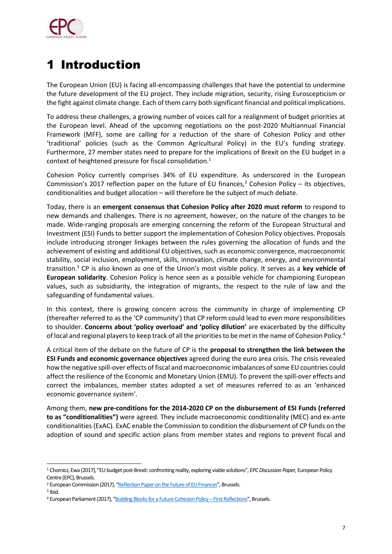

# 1 Introduction

The European Union (EU) is facing all-encompassing challenges that have the potential to undermine the future development of the EU project. They include migration, security, rising Euroscepticism or the fight against climate change. Each of them carry both significant financial and political implications.

To address these challenges, a growing number of voices call for a realignment of budget priorities at the European level. Ahead of the upcoming negotiations on the post-2020 Multiannual Financial Framework (MFF), some are calling for a reduction of the share of Cohesion Policy and other 'traditional' policies (such as the Common Agricultural Policy) in the EU's funding strategy. Furthermore, 27 member states need to prepare for the implications of Brexit on the EU budget in a context of heightened pressure for fiscal consolidation.<sup>1</sup>

Cohesion Policy currently comprises 34% of EU expenditure. As underscored in the European Commission's 2017 reflection paper on the future of EU finances,<sup>2</sup> Cohesion Policy – its objectives, conditionalities and budget allocation – will therefore be the subject of much debate.

Today, there is an **emergent consensus that Cohesion Policy after 2020 must reform** to respond to new demands and challenges. There is no agreement, however, on the nature of the changes to be made. Wide-ranging proposals are emerging concerning the reform of the European Structural and Investment (ESI) Funds to better support the implementation of Cohesion Policy objectives. Proposals include introducing stronger linkages between the rules governing the allocation of funds and the achievement of existing and additional EU objectives, such as economic convergence, macroeconomic stability, social inclusion, employment, skills, innovation, climate change, energy, and environmental transition.<sup>3</sup> CP is also known as one of the Union's most visible policy. It serves as a **key vehicle of European solidarity**. Cohesion Policy is hence seen as a possible vehicle for championing European values, such as subsidiarity, the integration of migrants, the respect to the rule of law and the safeguarding of fundamental values.

In this context, there is growing concern across the community in charge of implementing CP (thereafter referred to as the 'CP community') that CP reform could lead to even more responsibilities to shoulder. **Concerns about 'policy overload' and 'policy dilution'** are exacerbated by the difficulty of local and regional players to keep track of all the priorities to be met in the name of Cohesion Policy.<sup>4</sup>

A critical item of the debate on the future of CP is the **proposal to strengthen the link between the ESI Funds and economic governance objectives** agreed during the euro area crisis. The crisis revealed how the negative spill-over effects of fiscal and macroeconomic imbalances of some EU countries could affect the resilience of the Economic and Monetary Union (EMU). To prevent the spill-over effects and correct the imbalances, member states adopted a set of measures referred to as an 'enhanced economic governance system'.

Among them, **new pre-conditions for the 2014-2020 CP on the disbursement of ESI Funds (referred to as "conditionalities")** were agreed. They include macroeconomic conditionality (MEC) and ex-ante conditionalities (ExAC). ExAC enable the Commission to condition the disbursement of CP funds on the adoption of sound and specific action plans from member states and regions to prevent fiscal and

<sup>1</sup> Chomicz, Ewa (2017), "EU budget post-Brexit: confronting reality, exploring viable solutions", *EPC Discussion Paper,* European Policy Centre (EPC), Brussels.

<sup>&</sup>lt;sup>2</sup> European Commission (2017), "[Reflection Paper on the Future of EU Finances](https://ec.europa.eu/commission/sites/beta-political/files/reflection-paper-eu-finances_en.pdf)", Brussels.

<sup>3</sup> Ibid.

<sup>4</sup> European Parliament (2017), "[Building Blocks for a Future Cohesion Policy](http://www.europarl.europa.eu/RegData/etudes/STUD/2017/601974/IPOL_STU(2017)601974_EN.pdf) - First Reflections", Brussels.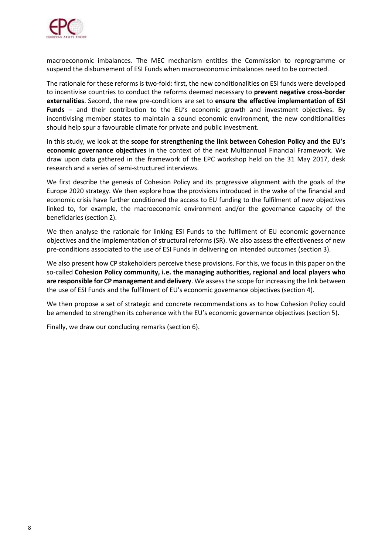

macroeconomic imbalances. The MEC mechanism entitles the Commission to reprogramme or suspend the disbursement of ESI Funds when macroeconomic imbalances need to be corrected.

The rationale for these reforms is two-fold: first, the new conditionalities on ESI funds were developed to incentivise countries to conduct the reforms deemed necessary to **prevent negative cross-border externalities**. Second, the new pre-conditions are set to **ensure the effective implementation of ESI Funds** – and their contribution to the EU's economic growth and investment objectives. By incentivising member states to maintain a sound economic environment, the new conditionalities should help spur a favourable climate for private and public investment.

In this study, we look at the **scope for strengthening the link between Cohesion Policy and the EU's economic governance objectives** in the context of the next Multiannual Financial Framework. We draw upon data gathered in the framework of the EPC workshop held on the 31 May 2017, desk research and a series of semi-structured interviews.

We first describe the genesis of Cohesion Policy and its progressive alignment with the goals of the Europe 2020 strategy. We then explore how the provisions introduced in the wake of the financial and economic crisis have further conditioned the access to EU funding to the fulfilment of new objectives linked to, for example, the macroeconomic environment and/or the governance capacity of the beneficiaries (section 2).

We then analyse the rationale for linking ESI Funds to the fulfilment of EU economic governance objectives and the implementation of structural reforms (SR). We also assess the effectiveness of new pre-conditions associated to the use of ESI Funds in delivering on intended outcomes (section 3).

We also present how CP stakeholders perceive these provisions. For this, we focus in this paper on the so-called **Cohesion Policy community, i.e. the managing authorities, regional and local players who are responsible for CP management and delivery**. We assess the scope for increasing the link between the use of ESI Funds and the fulfilment of EU's economic governance objectives (section 4).

We then propose a set of strategic and concrete recommendations as to how Cohesion Policy could be amended to strengthen its coherence with the EU's economic governance objectives (section 5).

Finally, we draw our concluding remarks (section 6).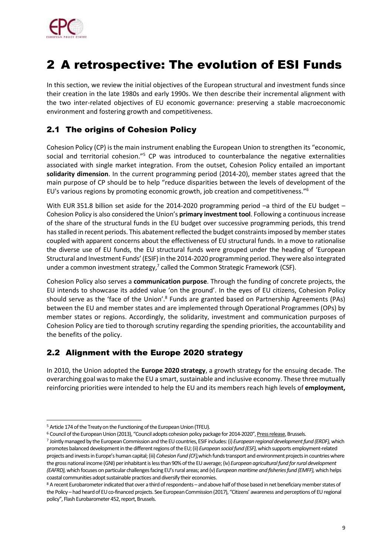

## 2 A retrospective: The evolution of ESI Funds

In this section, we review the initial objectives of the European structural and investment funds since their creation in the late 1980s and early 1990s. We then describe their incremental alignment with the two inter-related objectives of EU economic governance: preserving a stable macroeconomic environment and fostering growth and competitiveness.

## 2.1 The origins of Cohesion Policy

Cohesion Policy (CP) is the main instrument enabling the European Union to strengthen its "economic, social and territorial cohesion."<sup>5</sup> CP was introduced to counterbalance the negative externalities associated with single market integration. From the outset, Cohesion Policy entailed an important **solidarity dimension**. In the current programming period (2014-20), member states agreed that the main purpose of CP should be to help "reduce disparities between the levels of development of the EU's various regions by promoting economic growth, job creation and competitiveness."<sup>6</sup>

With EUR 351.8 billion set aside for the 2014-2020 programming period -a third of the EU budget -Cohesion Policy is also considered the Union's **primary investment tool**. Following a continuous increase of the share of the structural funds in the EU budget over successive programming periods, this trend has stalled in recent periods. This abatement reflected the budget constraints imposed by member states coupled with apparent concerns about the effectiveness of EU structural funds. In a move to rationalise the diverse use of EU funds, the EU structural funds were grouped under the heading of 'European Structural and Investment Funds' (ESIF) in the 2014-2020 programming period. They were also integrated under a common investment strategy,<sup>7</sup> called the Common Strategic Framework (CSF).

Cohesion Policy also serves a **communication purpose**. Through the funding of concrete projects, the EU intends to showcase its added value 'on the ground'. In the eyes of EU citizens, Cohesion Policy should serve as the 'face of the Union'.<sup>8</sup> Funds are granted based on Partnership Agreements (PAs) between the EU and member states and are implemented through Operational Programmes (OPs) by member states or regions. Accordingly, the solidarity, investment and communication purposes of Cohesion Policy are tied to thorough scrutiny regarding the spending priorities, the accountability and the benefits of the policy.

### 2.2 Alignment with the Europe 2020 strategy

In 2010, the Union adopted the **Europe 2020 strategy**, a growth strategy for the ensuing decade. The overarching goal was to make the EU a smart, sustainable and inclusive economy. These three mutually reinforcing priorities were intended to help the EU and its members reach high levels of **employment,** 

ł <sup>5</sup> Article 174 of the Treaty on the Functioning of the European Union (TFEU).

<sup>6</sup> Council of the European Union (2013), "Council adopts cohesion policy package for 2014-2020", [Press release,](http://www.consilium.europa.eu/uedocs/cms_data/docs/pressdata/EN/genaff/140106.pdf) Brussels.

<sup>7</sup> Jointly managed by the European Commission and the EU countries, ESIF includes: (i) *European regional development fund (ERDF),*which promotes balanced development in the different regions of the EU; (ii) *European social fund (ESF),*which supports employment-related projects and invests in Europe's human capital; (iii) *Cohesion Fund (CF),*which funds transport and environment projects in countries where the gross national income (GNI) per inhabitant is less than 90% of the EU average;(iv) *European agricultural fund for rural development (EAFRD),*which focuses on particular challenges facing EU's rural areas; and (v) *European maritime and fisheries fund (EMFF),*which helps coastal communities adopt sustainable practices and diversify their economies.

<sup>8</sup> A recent Eurobarometer indicated that over a third of respondents – and above half of those based in net beneficiary member states of the Policy – had heard of EU co-financed projects. See European Commission (2017), "Citizens' awareness and perceptions of EU regional policy", Flash Eurobarometer 452, report, Brussels.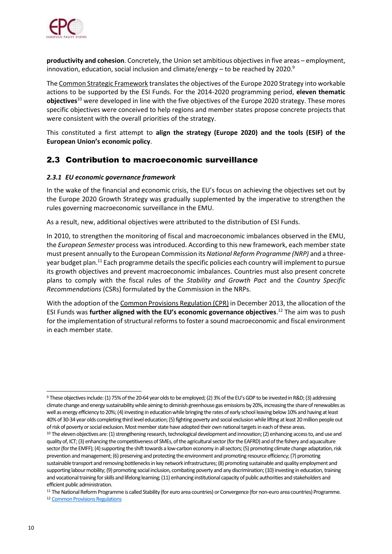

**productivity and cohesion**. Concretely, the Union set ambitious objectives in five areas – employment, innovation, education, social inclusion and climate/energy – to be reached by 2020.<sup>9</sup>

The Common Strategic Framework translates the objectives of the Europe 2020 Strategy into workable actions to be supported by the ESI Funds. For the 2014-2020 programming period, **eleven thematic objectives**<sup>10</sup> were developed in line with the five objectives of the Europe 2020 strategy. These mores specific objectives were conceived to help regions and member states propose concrete projects that were consistent with the overall priorities of the strategy.

This constituted a first attempt to **align the strategy (Europe 2020) and the tools (ESIF) of the European Union's economic policy**.

### 2.3 Contribution to macroeconomic surveillance

#### *2.3.1 EU economic governance framework*

In the wake of the financial and economic crisis, the EU's focus on achieving the objectives set out by the Europe 2020 Growth Strategy was gradually supplemented by the imperative to strengthen the rules governing macroeconomic surveillance in the EMU.

As a result, new, additional objectives were attributed to the distribution of ESI Funds.

In 2010, to strengthen the monitoring of fiscal and macroeconomic imbalances observed in the EMU, the *European Semester* process was introduced. According to this new framework, each member state must present annually to the European Commission its *National Reform Programme (NRP)* and a threeyear budget plan.<sup>11</sup> Each programme details the specific policies each country will implement to pursue its growth objectives and prevent macroeconomic imbalances. Countries must also present concrete plans to comply with the fiscal rules of the *Stability and Growth Pact* and the *Country Specific Recommendations* (CSRs) formulated by the Commission in the NRPs.

With the adoption of the Common Provisions Regulation (CPR) in December 2013, the allocation of the ESI Funds was **further aligned with the EU's economic governance objectives**. <sup>12</sup> The aim was to push for the implementation of structural reforms to foster a sound macroeconomic and fiscal environment in each member state.

<sup>11</sup> The National Reform Programme is called Stability (for euro area countries) or Convergence (for non-euro area countries) Programme.

<sup>9</sup> These objectives include: (1) 75% of the 20-64 year olds to be employed; (2) 3% of the EU's GDP to be invested in R&D; (3) addressing climate change and energy sustainability while aiming to diminish greenhouse gas emissions by 20%, increasing the share of renewables as well as energy efficiency to 20%; (4) investing in education while bringing the rates of early school leaving below 10% and having at least 40% of 30-34 year olds completing third level education; (5) fighting poverty and social exclusion while lifting at least 20 million people out of risk of poverty or social exclusion. Most member state have adopted their own national targets in each of these areas.

<sup>&</sup>lt;sup>10</sup> The eleven objectives are: (1) strengthening research, technological development and innovation; (2) enhancing access to, and use and quality of, ICT; (3) enhancing the competitiveness of SMEs, of the agricultural sector (for the EAFRD) and of the fishery and aquaculture sector (for the EMFF); (4) supporting the shift towards a low-carbon economy in all sectors; (5) promoting climate change adaptation, risk prevention and management; (6) preserving and protecting the environment and promoting resource efficiency; (7) promoting sustainable transport and removing bottlenecks in key network infrastructures; (8) promoting sustainable and quality employment and supporting labour mobility; (9) promoting social inclusion, combating poverty and any discrimination; (10) investing in education, training and vocational training for skills and lifelong learning; (11) enhancing institutional capacity of public authorities and stakeholders and efficient public administration.

<sup>12</sup> [Common Provisions Regulations](http://eur-lex.europa.eu/legal-content/EN/TXT/PDF/?uri=CELEX:32013R1303&from=EN)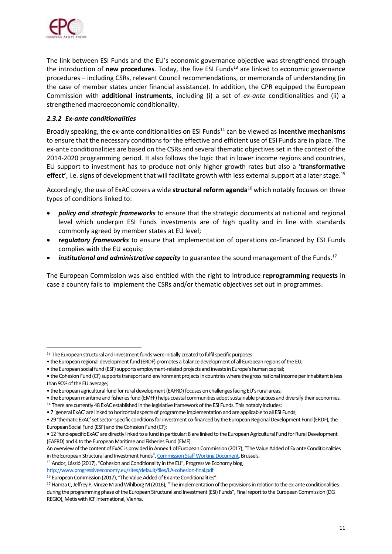

ł

The link between ESI Funds and the EU's economic governance objective was strengthened through the introduction of **new procedures**. Today, the five ESI Funds<sup>13</sup> are linked to economic governance procedures – including CSRs, relevant Council recommendations, or memoranda of understanding (in the case of member states under financial assistance). In addition, the CPR equipped the European Commission with **additional instruments**, including (i) a set of *ex-ante* conditionalities and (ii) a strengthened macroeconomic conditionality.

### *2.3.2 Ex-ante conditionalities*

Broadly speaking, the ex-ante conditionalities on ESI Funds<sup>14</sup> can be viewed as **incentive mechanisms** to ensure that the necessary conditions for the effective and efficient use of ESI Funds are in place. The ex-ante conditionalities are based on the CSRs and several thematic objectives set in the context of the 2014-2020 programming period. It also follows the logic that in lower income regions and countries, EU support to investment has to produce not only higher growth rates but also a '**transformative**  effect', i.e. signs of development that will facilitate growth with less external support at a later stage.<sup>15</sup>

Accordingly, the use of ExAC covers a wide **structural reform agenda**<sup>16</sup> which notably focuses on three types of conditions linked to:

- *policy and strategic frameworks* to ensure that the strategic documents at national and regional level which underpin ESI Funds investments are of high quality and in line with standards commonly agreed by member states at EU level;
- *regulatory frameworks* to ensure that implementation of operations co-financed by ESI Funds complies with the EU acquis;
- **•** *institutional and administrative capacity* to guarantee the sound management of the Funds.<sup>17</sup>

The European Commission was also entitled with the right to introduce **reprogramming requests** in case a country fails to implement the CSRs and/or thematic objectives set out in programmes.

<sup>15</sup> Andor, László (2017), "Cohesion and Conditionality in the EU", Progressive Economy blog,

<sup>&</sup>lt;sup>13</sup> The European structural and investment funds were initially created to fulfil specific purposes:

<sup>•</sup> the European regional development fund (ERDF) promotes a balance development of all European regions of the EU;

<sup>•</sup> the European social fund (ESF) supports employment-related projects and invests in Europe's human capital;

<sup>•</sup> the Cohesion Fund (CF) supports transport and environment projects in countries where the gross national income per inhabitant is less than 90% of the EU average;

<sup>•</sup> the European agricultural fund for rural development (EAFRD) focuses on challenges facing EU's rural areas;

<sup>•</sup> the European maritime and fisheries fund (EMFF) helps coastal communities adopt sustainable practices and diversify their economies.

<sup>14</sup> There are currently 48 ExAC established in the legislative framework of the ESI Funds. This notably includes:

<sup>• 7 &#</sup>x27;general ExAC' are linked to horizontal aspects of programme implementation and are applicable to all ESI Funds;

<sup>• 29 &#</sup>x27;thematic ExAC' set sector-specific conditions for investment co-financed by the European Regional Development Fund (ERDF), the European Social Fund (ESF) and the Cohesion Fund (CF);

<sup>• 12 &#</sup>x27;fund-specific ExAC' are directly linked to a fund in particular: 8 are linked to the European Agricultural Fund for Rural Development (EAFRD) and 4 to the European Maritime and Fisheries Fund (EMF).

An overview of the content of ExAC is provided in Annex 1 of European Commission (2017), "The Value Added of Ex ante Conditionalities in the European Structural and Investment Funds", [Commission Staff Working Document,](http://ec.europa.eu/regional_policy/sources/docgener/studies/pdf/value_added_exac_esif_en.pdf) Brussels.

<http://www.progressiveeconomy.eu/sites/default/files/LA-cohesion-final.pdf>

<sup>&</sup>lt;sup>16</sup> European Commission (2017), "The Value Added of Ex ante Conditionalities".

<sup>&</sup>lt;sup>17</sup> Hamza C, Jeffrey P, Vincze M and Wihlborg M (2016), "The implementation of the provisions in relation to the ex-ante conditionalities during the programming phase of the European Structural and Investment (ESI) Funds", Final report to the European Commission (DG REGIO), Metis with ICF International, Vienna.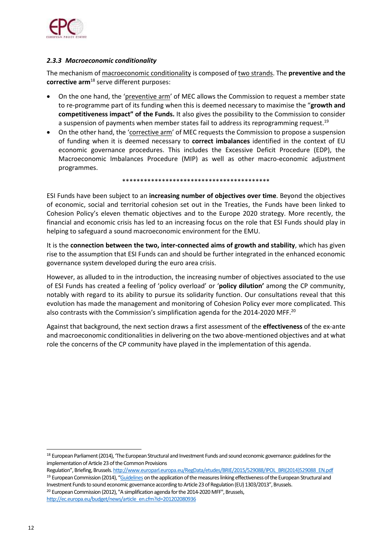

#### *2.3.3 Macroeconomic conditionality*

The mechanism of macroeconomic conditionality is composed of two strands. The **preventive and the corrective arm**<sup>18</sup> serve different purposes:

- On the one hand, the 'preventive arm' of MEC allows the Commission to request a member state to re-programme part of its funding when this is deemed necessary to maximise the "**growth and competitiveness impact" of the Funds.** It also gives the possibility to the Commission to consider a suspension of payments when member states fail to address its reprogramming request.<sup>19</sup>
- On the other hand, the 'corrective arm' of MEC requests the Commission to propose a suspension of funding when it is deemed necessary to **correct imbalances** identified in the context of EU economic governance procedures. This includes the Excessive Deficit Procedure (EDP), the Macroeconomic Imbalances Procedure (MIP) as well as other macro-economic adjustment programmes.

#### \*\*\*\*\*\*\*\*\*\*\*\*\*\*\*\*\*\*\*\*\*\*\*\*\*\*\*\*\*\*\*\*\*\*\*\*\*\*\*\*\*

ESI Funds have been subject to an **increasing number of objectives over time**. Beyond the objectives of economic, social and territorial cohesion set out in the Treaties, the Funds have been linked to Cohesion Policy's eleven thematic objectives and to the Europe 2020 strategy. More recently, the financial and economic crisis has led to an increasing focus on the role that ESI Funds should play in helping to safeguard a sound macroeconomic environment for the EMU.

It is the **connection between the two, inter-connected aims of growth and stability**, which has given rise to the assumption that ESI Funds can and should be further integrated in the enhanced economic governance system developed during the euro area crisis.

However, as alluded to in the introduction, the increasing number of objectives associated to the use of ESI Funds has created a feeling of 'policy overload' or '**policy dilution'** among the CP community, notably with regard to its ability to pursue its solidarity function. Our consultations reveal that this evolution has made the management and monitoring of Cohesion Policy ever more complicated. This also contrasts with the Commission's simplification agenda for the 2014-2020 MFF.<sup>20</sup>

Against that background, the next section draws a first assessment of the **effectiveness** of the ex-ante and macroeconomic conditionalities in delivering on the two above-mentioned objectives and at what role the concerns of the CP community have played in the implementation of this agenda.

[http://ec.europa.eu/budget/news/article\\_en.cfm?id=201202080936](http://ec.europa.eu/budget/news/article_en.cfm?id=201202080936)

<sup>&</sup>lt;sup>18</sup> European Parliament (2014), 'The European Structural and Investment Funds and sound economic governance: guidelines for the implementation of Article 23 of the Common Provisions

Regulation", Briefing, Brussels. [http://www.europarl.europa.eu/RegData/etudes/BRIE/2015/529088/IPOL\\_BRI\(2014\)529088\\_EN.pdf](http://www.europarl.europa.eu/RegData/etudes/BRIE/2015/529088/IPOL_BRI(2014)529088_EN.pdf) <sup>19</sup> European Commission (2014), "[Guidelines](http://eur-lex.europa.eu/legal-content/EN/TXT/?uri=celex%3A52014DC0494) on the application of the measures linking effectiveness of the European Structural and Investment Funds to sound economic governance according to Article 23 of Regulation (EU) 1303/2013", Brussels. <sup>20</sup> European Commission (2012), "A simplification agenda for the 2014-2020 MFF", Brussels,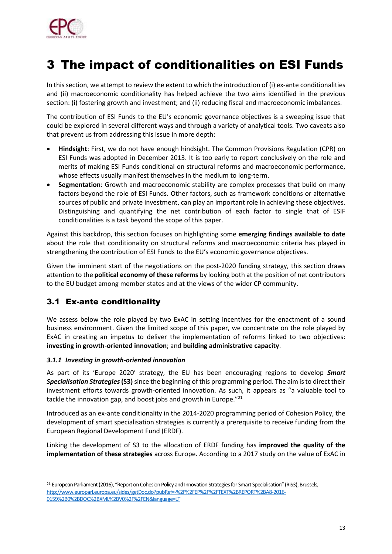

## 3 The impact of conditionalities on ESI Funds

In this section, we attempt to review the extent to which the introduction of (i) ex-ante conditionalities and (ii) macroeconomic conditionality has helped achieve the two aims identified in the previous section: (i) fostering growth and investment; and (ii) reducing fiscal and macroeconomic imbalances.

The contribution of ESI Funds to the EU's economic governance objectives is a sweeping issue that could be explored in several different ways and through a variety of analytical tools. Two caveats also that prevent us from addressing this issue in more depth:

- **Hindsight**: First, we do not have enough hindsight. The Common Provisions Regulation (CPR) on ESI Funds was adopted in December 2013. It is too early to report conclusively on the role and merits of making ESI Funds conditional on structural reforms and macroeconomic performance, whose effects usually manifest themselves in the medium to long-term.
- **Segmentation**: Growth and macroeconomic stability are complex processes that build on many factors beyond the role of ESI Funds. Other factors, such as framework conditions or alternative sources of public and private investment, can play an important role in achieving these objectives. Distinguishing and quantifying the net contribution of each factor to single that of ESIF conditionalities is a task beyond the scope of this paper.

Against this backdrop, this section focuses on highlighting some **emerging findings available to date** about the role that conditionality on structural reforms and macroeconomic criteria has played in strengthening the contribution of ESI Funds to the EU's economic governance objectives.

Given the imminent start of the negotiations on the post-2020 funding strategy, this section draws attention to the **political economy of these reforms** by looking both at the position of net contributors to the EU budget among member states and at the views of the wider CP community.

## 3.1 Ex-ante conditionality

ł

We assess below the role played by two ExAC in setting incentives for the enactment of a sound business environment. Given the limited scope of this paper, we concentrate on the role played by ExAC in creating an impetus to deliver the implementation of reforms linked to two objectives: **investing in growth-oriented innovation**; and **building administrative capacity**.

### *3.1.1 Investing in growth-oriented innovation*

As part of its 'Europe 2020' strategy, the EU has been encouraging regions to develop *Smart Specialisation Strategies***(S3)**since the beginning of this programming period. The aim is to direct their investment efforts towards growth-oriented innovation. As such, it appears as "a valuable tool to tackle the innovation gap, and boost jobs and growth in Europe."<sup>21</sup>

Introduced as an ex-ante conditionality in the 2014-2020 programming period of Cohesion Policy, the development of smart specialisation strategies is currently a prerequisite to receive funding from the European Regional Development Fund (ERDF).

Linking the development of S3 to the allocation of ERDF funding has **improved the quality of the implementation of these strategies** across Europe. According to a 2017 study on the value of ExAC in

<sup>&</sup>lt;sup>21</sup> European Parliament (2016), "Report on Cohesion Policy and Innovation Strategies for Smart Specialisation" (RIS3), Brussels, [http://www.europarl.europa.eu/sides/getDoc.do?pubRef=-%2F%2FEP%2F%2FTEXT%2BREPORT%2BA8-2016-](http://www.europarl.europa.eu/sides/getDoc.do?pubRef=-%2F%2FEP%2F%2FTEXT%2BREPORT%2BA8-2016-0159%2B0%2BDOC%2BXML%2BV0%2F%2FEN&language=LT) [0159%2B0%2BDOC%2BXML%2BV0%2F%2FEN&language=LT](http://www.europarl.europa.eu/sides/getDoc.do?pubRef=-%2F%2FEP%2F%2FTEXT%2BREPORT%2BA8-2016-0159%2B0%2BDOC%2BXML%2BV0%2F%2FEN&language=LT)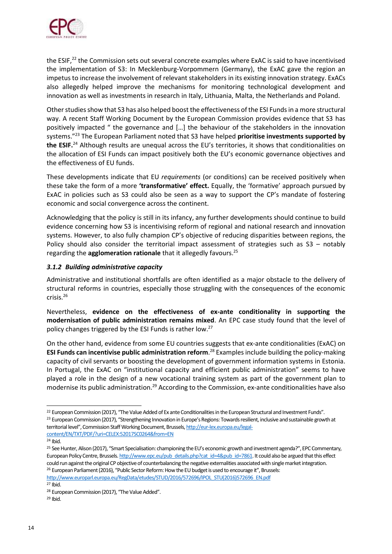

the ESIF,<sup>22</sup> the Commission sets out several concrete examples where ExAC is said to have incentivised the implementation of S3: In Mecklenburg-Vorpommern (Germany), the ExAC gave the region an impetus to increase the involvement of relevant stakeholders in its existing innovation strategy. ExACs also allegedly helped improve the mechanisms for monitoring technological development and innovation as well as investments in research in Italy, Lithuania, Malta, the Netherlands and Poland.

Other studies show that S3 has also helped boost the effectiveness of the ESI Fundsin a more structural way. A recent Staff Working Document by the European Commission provides evidence that S3 has positively impacted " the governance and […] the behaviour of the stakeholders in the innovation systems." <sup>23</sup> The European Parliament noted that S3 have helped **prioritise investments supported by the ESIF.** <sup>24</sup> Although results are unequal across the EU's territories, it shows that conditionalities on the allocation of ESI Funds can impact positively both the EU's economic governance objectives and the effectiveness of EU funds.

These developments indicate that EU *requirements* (or conditions) can be received positively when these take the form of a more **'transformative' effect.** Equally, the 'formative' approach pursued by ExAC in policies such as S3 could also be seen as a way to support the CP's mandate of fostering economic and social convergence across the continent.

Acknowledging that the policy is still in its infancy, any further developments should continue to build evidence concerning how S3 is incentivising reform of regional and national research and innovation systems. However, to also fully champion CP's objective of reducing disparities between regions, the Policy should also consider the territorial impact assessment of strategies such as S3 – notably regarding the **agglomeration rationale** that it allegedly favours.<sup>25</sup>

### *3.1.2 Building administrative capacity*

Administrative and institutional shortfalls are often identified as a major obstacle to the delivery of structural reforms in countries, especially those struggling with the consequences of the economic crisis.<sup>26</sup>

Nevertheless, **evidence on the effectiveness of ex-ante conditionality in supporting the modernisation of public administration remains mixed**. An EPC case study found that the level of policy changes triggered by the ESI Funds is rather low.<sup>27</sup>

On the other hand, evidence from some EU countries suggests that ex-ante conditionalities (ExAC) on **ESI Funds can incentivise public administration reform**. <sup>28</sup> Examples include building the policy-making capacity of civil servants or boosting the development of government information systems in Estonia. In Portugal, the ExAC on "institutional capacity and efficient public administration" seems to have played a role in the design of a new vocational training system as part of the government plan to modernise its public administration.<sup>29</sup> According to the Commission, ex-ante conditionalities have also

[http://www.europarl.europa.eu/RegData/etudes/STUD/2016/572696/IPOL\\_STU\(2016\)572696\\_EN.pdf](http://www.europarl.europa.eu/RegData/etudes/STUD/2016/572696/IPOL_STU(2016)572696_EN.pdf) <sup>27</sup> Ibid.

ł <sup>22</sup> European Commission (2017), "The Value Added of Ex ante Conditionalities in the European Structural and Investment Funds".

<sup>&</sup>lt;sup>23</sup> European Commission (2017), "Strengthening Innovation in Europe's Regions: Towards resilient, inclusive and sustainable growth at territorial level", Commission Staff Working Document, Brussels, [http://eur-lex.europa.eu/legal](http://eur-lex.europa.eu/legal-content/EN/TXT/PDF/?uri=CELEX:52017SC0264&from=EN)[content/EN/TXT/PDF/?uri=CELEX:52017SC0264&from=EN](http://eur-lex.europa.eu/legal-content/EN/TXT/PDF/?uri=CELEX:52017SC0264&from=EN)

<sup>24</sup> Ibid.

<sup>&</sup>lt;sup>25</sup> See Hunter, Alison (2017), "Smart Specialisation: championing the EU's economic growth and investment agenda?", EPC Commentary, European Policy Centre, Brussels[. http://www.epc.eu/pub\\_details.php?cat\\_id=4&pub\\_id=7861.](http://www.epc.eu/pub_details.php?cat_id=4&pub_id=7861) It could also be argued that this effect could run against the original CP objective of counterbalancing the negative externalities associated with single market integration. <sup>26</sup> European Parliament (2016), "Public Sector Reform: How the EU budget is used to encourage it", Brussels:

<sup>28</sup> European Commission (2017), "The Value Added".

<sup>29</sup> Ibid.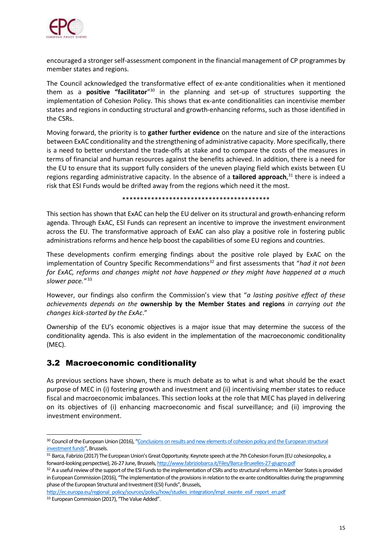

encouraged a stronger self-assessment component in the financial management of CP programmes by member states and regions.

The Council acknowledged the transformative effect of ex-ante conditionalities when it mentioned them as a **positive "facilitator**" <sup>30</sup> in the planning and set-up of structures supporting the implementation of Cohesion Policy. This shows that ex-ante conditionalities can incentivise member states and regions in conducting structural and growth-enhancing reforms, such as those identified in the CSRs.

Moving forward, the priority is to **gather further evidence** on the nature and size of the interactions between ExAC conditionality and the strengthening of administrative capacity. More specifically, there is a need to better understand the trade-offs at stake and to compare the costs of the measures in terms of financial and human resources against the benefits achieved. In addition, there is a need for the EU to ensure that its support fully considers of the uneven playing field which exists between EU regions regarding administrative capacity. In the absence of a **tailored approach**, <sup>31</sup> there is indeed a risk that ESI Funds would be drifted away from the regions which need it the most.

\*\*\*\*\*\*\*\*\*\*\*\*\*\*\*\*\*\*\*\*\*\*\*\*\*\*\*\*\*\*\*\*\*\*\*\*\*\*\*\*\*

This section has shown that ExAC can help the EU deliver on its structural and growth-enhancing reform agenda. Through ExAC, ESI Funds can represent an incentive to improve the investment environment across the EU. The transformative approach of ExAC can also play a positive role in fostering public administrations reforms and hence help boost the capabilities of some EU regions and countries.

These developments confirm emerging findings about the positive role played by ExAC on the implementation of Country Specific Recommendations<sup>32</sup> and first assessments that "had it not been *for ExAC, reforms and changes might not have happened or they might have happened at a much slower pace."* 33

However, our findings also confirm the Commission's view that "*a lasting positive effect of these achievements depends on the* **ownership by the Member States and regions** *in carrying out the changes kick-started by the ExAc*."

Ownership of the EU's economic objectives is a major issue that may determine the success of the conditionality agenda. This is also evident in the implementation of the macroeconomic conditionality (MEC).

### 3.2 Macroeconomic conditionality

As previous sections have shown, there is much debate as to what is and what should be the exact purpose of MEC in (i) fostering growth and investment and (ii) incentivising member states to reduce fiscal and macroeconomic imbalances. This section looks at the role that MEC has played in delivering on its objectives of (i) enhancing macroeconomic and fiscal surveillance; and (ii) improving the investment environment.

[http://ec.europa.eu/regional\\_policy/sources/policy/how/studies\\_integration/impl\\_exante\\_esif\\_report\\_en.pdf](http://ec.europa.eu/regional_policy/sources/policy/how/studies_integration/impl_exante_esif_report_en.pdf)

<sup>&</sup>lt;sup>30</sup> Council of the European Union (2016), "Conclusions on results and new elements of cohesion policy and the European structural investment funds", Brussels.

<sup>31</sup> Barca, Fabrizio (2017) The European Union's Great Opportunity. Keynote speech at the 7th Cohesion Forum (EU cohesionpolicy, a forward-looking perspective), 26-27 June, Brussels[, http://www.fabriziobarca.it/Files/Barca-Bruxelles-27-giugno.pdf](http://www.fabriziobarca.it/Files/Barca-Bruxelles-27-giugno.pdf)

<sup>32</sup> A a useful review of the support of the ESI Funds to the implementation of CSRs and to structural reforms in Member States is provided in European Commission (2016), "The implementation of the provisions in relation to the ex-ante conditionalities during the programming phase of the European Structural and Investment (ESI) Funds", Brussels,

<sup>33</sup> European Commission (2017), "The Value Added".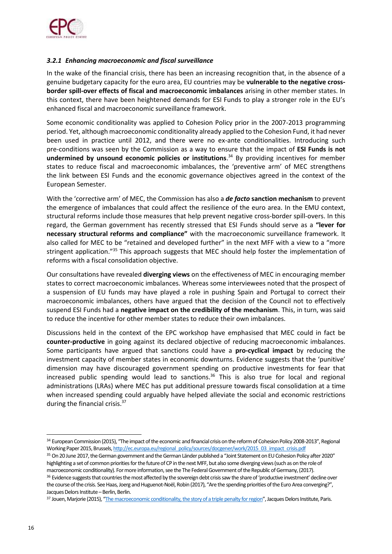

#### *3.2.1 Enhancing macroeconomic and fiscal surveillance*

In the wake of the financial crisis, there has been an increasing recognition that, in the absence of a genuine budgetary capacity for the euro area, EU countries may be **vulnerable to the negative crossborder spill-over effects of fiscal and macroeconomic imbalances** arising in other member states. In this context, there have been heightened demands for ESI Funds to play a stronger role in the EU's enhanced fiscal and macroeconomic surveillance framework.

Some economic conditionality was applied to Cohesion Policy prior in the 2007-2013 programming period. Yet, although macroeconomic conditionality already applied to the Cohesion Fund, it had never been used in practice until 2012, and there were no ex-ante conditionalities. Introducing such pre-conditions was seen by the Commission as a way to ensure that the impact of **ESI Funds is not undermined by unsound economic policies or institutions**. <sup>34</sup> By providing incentives for member states to reduce fiscal and macroeconomic imbalances, the 'preventive arm' of MEC strengthens the link between ESI Funds and the economic governance objectives agreed in the context of the European Semester.

With the 'corrective arm' of MEC, the Commission has also a *de facto* **sanction mechanism** to prevent the emergence of imbalances that could affect the resilience of the euro area. In the EMU context, structural reforms include those measures that help prevent negative cross-border spill-overs. In this regard, the German government has recently stressed that ESI Funds should serve as a **"lever for necessary structural reforms and compliance"** with the macroeconomic surveillance framework. It also called for MEC to be "retained and developed further" in the next MFF with a view to a "more stringent application."<sup>35</sup> This approach suggests that MEC should help foster the implementation of reforms with a fiscal consolidation objective.

Our consultations have revealed **diverging views** on the effectiveness of MEC in encouraging member states to correct macroeconomic imbalances. Whereas some interviewees noted that the prospect of a suspension of EU funds may have played a role in pushing Spain and Portugal to correct their macroeconomic imbalances, others have argued that the decision of the Council not to effectively suspend ESI Funds had a **negative impact on the credibility of the mechanism**. This, in turn, was said to reduce the incentive for other member states to reduce their own imbalances.

Discussions held in the context of the EPC workshop have emphasised that MEC could in fact be **counter-productive** in going against its declared objective of reducing macroeconomic imbalances. Some participants have argued that sanctions could have a **pro-cyclical impact** by reducing the investment capacity of member states in economic downturns. Evidence suggests that the 'punitive' dimension may have discouraged government spending on productive investments for fear that increased public spending would lead to sanctions.<sup>36</sup> This is also true for local and regional administrations (LRAs) where MEC has put additional pressure towards fiscal consolidation at a time when increased spending could arguably have helped alleviate the social and economic restrictions during the financial crisis.<sup>37</sup>

<sup>&</sup>lt;sup>34</sup> European Commission (2015), "The impact of the economic and financial crisis on the reform of Cohesion Policy 2008-2013", Regional Working Paper 2015, Brussels[, http://ec.europa.eu/regional\\_policy/sources/docgener/work/2015\\_03\\_impact\\_crisis.pdf](http://ec.europa.eu/regional_policy/sources/docgener/work/2015_03_impact_crisis.pdf)

<sup>&</sup>lt;sup>35</sup> On 20 June 2017, the German government and the German Länder published a "Joint Statement on EU Cohesion Policy after 2020" highlighting a set of common priorities for the future of CP in the next MFF, but also some diverging views (such as on the role of macroeconomic conditionality). For more information, see the The Federal Government of the Republic of Germany, (2017). <sup>36</sup> Evidence suggests that countries the most affected by the sovereign debt crisis saw the share of 'productive investment' decline over the course of the crisis. See Haas, Joerg and Huguenot-Noël, Robin (2017), "Are the spending priorities of the Euro Area converging?", Jacques Delors Institute - Berlin, Berlin.

<sup>37</sup> Jouen, Marjorie (2015), "[The macroeconomic conditionality, the story of a triple penalty for region](http://www.institutdelors.eu/media/macroeconomicconditionnality-jouen-jdi-march15.pdf?pdf=ok)", Jacques Delors Institute, Paris.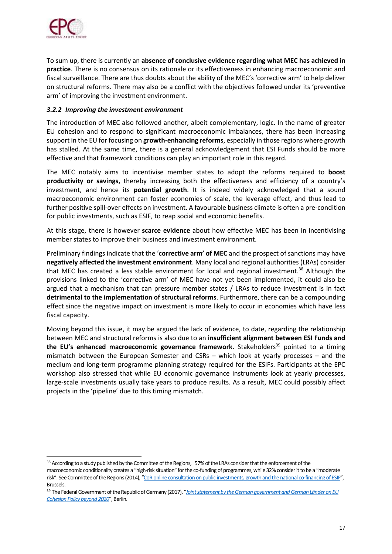

ł

To sum up, there is currently an **absence of conclusive evidence regarding what MEC has achieved in practice**. There is no consensus on its rationale or its effectiveness in enhancing macroeconomic and fiscal surveillance. There are thus doubts about the ability of the MEC's 'corrective arm' to help deliver on structural reforms. There may also be a conflict with the objectives followed under its 'preventive arm' of improving the investment environment.

#### *3.2.2 Improving the investment environment*

The introduction of MEC also followed another, albeit complementary, logic. In the name of greater EU cohesion and to respond to significant macroeconomic imbalances, there has been increasing support in the EU for focusing on **growth-enhancing reforms**, especially in those regions where growth has stalled. At the same time, there is a general acknowledgement that ESI Funds should be more effective and that framework conditions can play an important role in this regard.

The MEC notably aims to incentivise member states to adopt the reforms required to **boost productivity or savings,** thereby increasing both the effectiveness and efficiency of a country's investment, and hence its **potential growth**. It is indeed widely acknowledged that a sound macroeconomic environment can foster economies of scale, the leverage effect, and thus lead to further positive spill-over effects on investment. A favourable business climate is often a pre-condition for public investments, such as ESIF, to reap social and economic benefits.

At this stage, there is however **scarce evidence** about how effective MEC has been in incentivising member states to improve their business and investment environment.

Preliminary findings indicate that the '**corrective arm' of MEC** and the prospect of sanctions may have **negatively affected the investment environment**. Many local and regional authorities (LRAs) consider that MEC has created a less stable environment for local and regional investment.<sup>38</sup> Although the provisions linked to the 'corrective arm' of MEC have not yet been implemented, it could also be argued that a mechanism that can pressure member states / LRAs to reduce investment is in fact **detrimental to the implementation of structural reforms**. Furthermore, there can be a compounding effect since the negative impact on investment is more likely to occur in economies which have less fiscal capacity.

Moving beyond this issue, it may be argued the lack of evidence, to date, regarding the relationship between MEC and structural reforms is also due to an **insufficient alignment between ESI Funds and the EU's enhanced macroeconomic governance framework**. Stakeholders<sup>39</sup> pointed to a timing mismatch between the European Semester and CSRs – which look at yearly processes – and the medium and long-term programme planning strategy required for the ESIFs. Participants at the EPC workshop also stressed that while EU economic governance instruments look at yearly processes, large-scale investments usually take years to produce results. As a result, MEC could possibly affect projects in the 'pipeline' due to this timing mismatch.

macroeconomic conditionality creates a "high-risk situation" for the co-funding of programmes, while 32% consider it to be a "moderate risk". See Committee of the Regions (2014), "[CoR online consultation on public investments, growth and the national co-financing of ESIF](https://portal.cor.europa.eu/europe2020/Surveys/Pages/EUfunds.aspx)", Brussels.

<sup>38</sup> According to a study published by the Committee of the Regions, 57% of the LRAs consider that the enforcement of the

<sup>39</sup> The Federal Government of the Republic of Germany (2017), "*[Joint statement by the German government and German Länder on EU](http://www.bmwi.de/Redaktion/EN/Downloads/S-T/stellungnahme-bund-laneder-kohaesionspolitik.pdf?__blob=publicationFile&v=1)  [Cohesion Policy beyond 2020](http://www.bmwi.de/Redaktion/EN/Downloads/S-T/stellungnahme-bund-laneder-kohaesionspolitik.pdf?__blob=publicationFile&v=1)*", Berlin.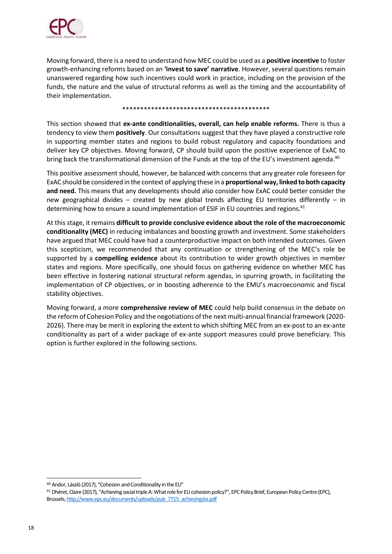

Moving forward, there is a need to understand how MEC could be used as a **positive incentive** to foster growth-enhancing reforms based on an **'invest to save' narrative**. However, several questions remain unanswered regarding how such incentives could work in practice, including on the provision of the funds, the nature and the value of structural reforms as well as the timing and the accountability of their implementation.

#### \*\*\*\*\*\*\*\*\*\*\*\*\*\*\*\*\*\*\*\*\*\*\*\*\*\*\*\*\*\*\*\*\*\*\*\*\*\*\*\*\*

This section showed that **ex-ante conditionalities, overall, can help enable reforms.** There is thus a tendency to view them **positively**. Our consultations suggest that they have played a constructive role in supporting member states and regions to build robust regulatory and capacity foundations and deliver key CP objectives. Moving forward, CP should build upon the positive experience of ExAC to bring back the transformational dimension of the Funds at the top of the EU's investment agenda.<sup>40</sup>

This positive assessment should, however, be balanced with concerns that any greater role foreseen for ExAC should be considered in the context of applying these in a **proportional way, linked to both capacity and need.** This means that any developments should also consider how ExAC could better consider the new geographical divides – created by new global trends affecting EU territories differently – in determining how to ensure a sound implementation of ESIF in EU countries and regions.<sup>41</sup>

At this stage, it remains **difficult to provide conclusive evidence about the role of the macroeconomic conditionality (MEC)** in reducing imbalances and boosting growth and investment. Some stakeholders have argued that MEC could have had a counterproductive impact on both intended outcomes. Given this scepticism, we recommended that any continuation or strengthening of the MEC's role be supported by a **compelling evidence** about its contribution to wider growth objectives in member states and regions. More specifically, one should focus on gathering evidence on whether MEC has been effective in fostering national structural reform agendas, in spurring growth, in facilitating the implementation of CP objectives, or in boosting adherence to the EMU's macroeconomic and fiscal stability objectives.

Moving forward, a more **comprehensive review of MEC** could help build consensus in the debate on the reform of Cohesion Policy and the negotiations of the next multi-annual financial framework (2020- 2026). There may be merit in exploring the extent to which shifting MEC from an ex-post to an ex-ante conditionality as part of a wider package of ex-ante support measures could prove beneficiary. This option is further explored in the following sections.

<sup>40</sup> Andor, László (2017), "Cohesion and Conditionality in the EU"

<sup>41</sup> Dhéret, Claire (2017), "Achieving social triple A: What role for EU cohesion policy?", EPC Policy Brief, European Policy Centre (EPC), Brussels[, http://www.epc.eu/documents/uploads/pub\\_7715\\_achievingsta.pdf](http://www.epc.eu/documents/uploads/pub_7715_achievingsta.pdf)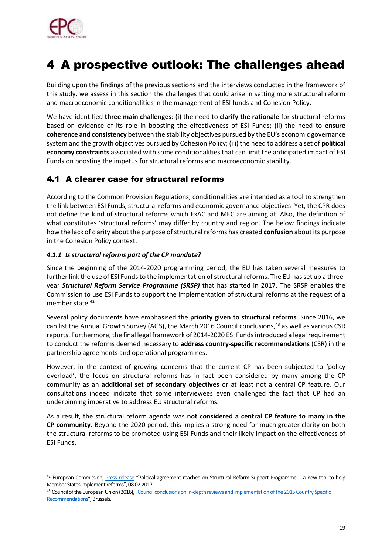

ł

## 4 A prospective outlook: The challenges ahead

Building upon the findings of the previous sections and the interviews conducted in the framework of this study, we assess in this section the challenges that could arise in setting more structural reform and macroeconomic conditionalities in the management of ESI funds and Cohesion Policy.

We have identified **three main challenges**: (i) the need to **clarify the rationale** for structural reforms based on evidence of its role in boosting the effectiveness of ESI Funds; (ii) the need to **ensure coherence and consistency** between the stability objectives pursued by the EU's economic governance system and the growth objectives pursued by Cohesion Policy; (iii) the need to address a set of **political economy constraints** associated with some conditionalities that can limit the anticipated impact of ESI Funds on boosting the impetus for structural reforms and macroeconomic stability.

### 4.1 A clearer case for structural reforms

According to the Common Provision Regulations, conditionalities are intended as a tool to strengthen the link between ESI Funds, structural reforms and economic governance objectives. Yet, the CPR does not define the kind of structural reforms which ExAC and MEC are aiming at. Also, the definition of what constitutes 'structural reforms' may differ by country and region. The below findings indicate how the lack of clarity about the purpose of structural reforms has created **confusion** about its purpose in the Cohesion Policy context.

### *4.1.1 Is structural reforms part of the CP mandate?*

Since the beginning of the 2014-2020 programming period, the EU has taken several measures to further link the use of ESI Funds to the implementation of structural reforms. The EU has set up a threeyear *Structural Reform Service Programme (SRSP)* that has started in 2017. The SRSP enables the Commission to use ESI Funds to support the implementation of structural reforms at the request of a member state.<sup>42</sup>

Several policy documents have emphasised the **priority given to structural reforms**. Since 2016, we can list the Annual Growth Survey (AGS), the March 2016 Council conclusions, <sup>43</sup> as well as various CSR reports. Furthermore, the final legal framework of 2014-2020 ESI Funds introduced a legal requirement to conduct the reforms deemed necessary to **address country-specific recommendations** (CSR) in the partnership agreements and operational programmes.

However, in the context of growing concerns that the current CP has been subjected to 'policy overload', the focus on structural reforms has in fact been considered by many among the CP community as an **additional set of secondary objectives** or at least not a central CP feature. Our consultations indeed indicate that some interviewees even challenged the fact that CP had an underpinning imperative to address EU structural reforms.

As a result, the structural reform agenda was **not considered a central CP feature to many in the CP community.** Beyond the 2020 period, this implies a strong need for much greater clarity on both the structural reforms to be promoted using ESI Funds and their likely impact on the effectiveness of ESI Funds.

 $42$  European Commission, [Press release](http://europa.eu/rapid/press-release_IP-17-233_en.htm) "Political agreement reached on Structural Reform Support Programme – a new tool to help Member States implement reforms", 08.02.2017.

<sup>43</sup> Council of the European Union (2016), "Council conclusions on in-depth reviews and implementation of the 2015 Country Specific [Recommendations](http://www.consilium.europa.eu/en/press/press-releases/2016/05/25-conclusions-in-depth-review-2015-csr/)", Brussels.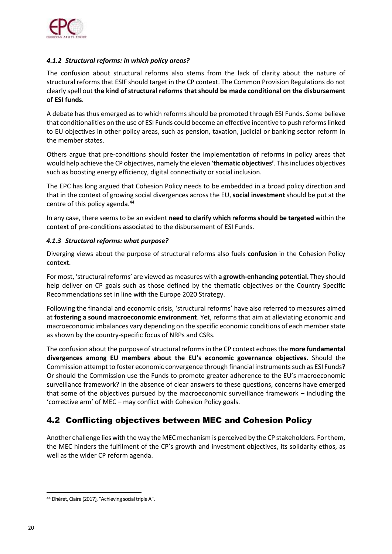

### *4.1.2 Structural reforms: in which policy areas?*

The confusion about structural reforms also stems from the lack of clarity about the nature of structural reforms that ESIF should target in the CP context. The Common Provision Regulations do not clearly spell out **the kind of structural reforms that should be made conditional on the disbursement of ESI funds**.

A debate has thus emerged as to which reforms should be promoted through ESI Funds. Some believe that conditionalities on the use of ESI Funds could become an effective incentive to push reforms linked to EU objectives in other policy areas, such as pension, taxation, judicial or banking sector reform in the member states.

Others argue that pre-conditions should foster the implementation of reforms in policy areas that would help achieve the CP objectives, namely the eleven '**thematic objectives'**. Thisincludes objectives such as boosting energy efficiency, digital connectivity or social inclusion.

The EPC has long argued that Cohesion Policy needs to be embedded in a broad policy direction and that in the context of growing social divergences across the EU, **social investment** should be put at the centre of this policy agenda.<sup>44</sup>

In any case, there seems to be an evident **need to clarify which reforms should be targeted** within the context of pre-conditions associated to the disbursement of ESI Funds.

#### *4.1.3 Structural reforms: what purpose?*

Diverging views about the purpose of structural reforms also fuels **confusion** in the Cohesion Policy context.

For most, 'structural reforms' are viewed as measures with **a growth-enhancing potential.** They should help deliver on CP goals such as those defined by the thematic objectives or the Country Specific Recommendations set in line with the Europe 2020 Strategy.

Following the financial and economic crisis, 'structural reforms' have also referred to measures aimed at **fostering a sound macroeconomic environment**. Yet, reforms that aim at alleviating economic and macroeconomic imbalances vary depending on the specific economic conditions of each member state as shown by the country-specific focus of NRPs and CSRs.

The confusion about the purpose of structural reforms in the CP context echoes the **more fundamental divergences among EU members about the EU's economic governance objectives.** Should the Commission attempt to foster economic convergence through financial instruments such as ESI Funds? Or should the Commission use the Funds to promote greater adherence to the EU's macroeconomic surveillance framework? In the absence of clear answers to these questions, concerns have emerged that some of the objectives pursued by the macroeconomic surveillance framework – including the 'corrective arm' of MEC – may conflict with Cohesion Policy goals.

### 4.2 Conflicting objectives between MEC and Cohesion Policy

Another challenge lies with the way the MEC mechanism is perceived by the CP stakeholders. For them, the MEC hinders the fulfilment of the CP's growth and investment objectives, its solidarity ethos, as well as the wider CP reform agenda.

<sup>44</sup> Dhéret, Claire (2017), "Achieving social triple A".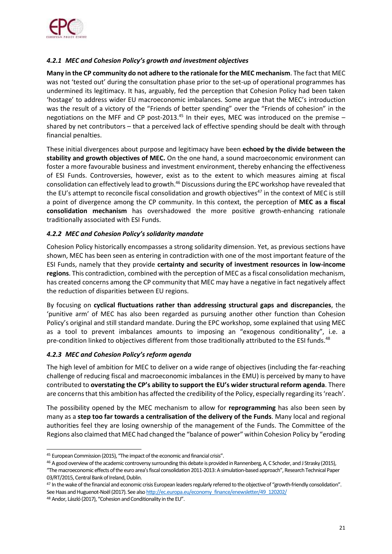

### *4.2.1 MEC and Cohesion Policy's growth and investment objectives*

**Many in the CP community do not adhere to the rationale for the MEC mechanism**. The fact that MEC was not 'tested out' during the consultation phase prior to the set-up of operational programmes has undermined its legitimacy. It has, arguably, fed the perception that Cohesion Policy had been taken 'hostage' to address wider EU macroeconomic imbalances. Some argue that the MEC's introduction was the result of a victory of the "Friends of better spending" over the "Friends of cohesion" in the negotiations on the MFF and CP post-2013.<sup>45</sup> In their eyes, MEC was introduced on the premise  $$ shared by net contributors – that a perceived lack of effective spending should be dealt with through financial penalties.

These initial divergences about purpose and legitimacy have been **echoed by the divide between the stability and growth objectives of MEC.** On the one hand, a sound macroeconomic environment can foster a more favourable business and investment environment, thereby enhancing the effectiveness of ESI Funds. Controversies, however, exist as to the extent to which measures aiming at fiscal consolidation can effectively lead to growth.<sup>46</sup> Discussions during the EPC workshop have revealed that the EU's attempt to reconcile fiscal consolidation and growth objectives<sup>47</sup> in the context of MEC is still a point of divergence among the CP community. In this context, the perception of **MEC as a fiscal consolidation mechanism** has overshadowed the more positive growth-enhancing rationale traditionally associated with ESI Funds.

### *4.2.2 MEC and Cohesion Policy's solidarity mandate*

Cohesion Policy historically encompasses a strong solidarity dimension. Yet, as previous sections have shown, MEC has been seen as entering in contradiction with one of the most important feature of the ESI Funds, namely that they provide **certainty and security of investment resources in low-income regions**. This contradiction, combined with the perception of MEC as a fiscal consolidation mechanism, has created concerns among the CP community that MEC may have a negative in fact negatively affect the reduction of disparities between EU regions.

By focusing on **cyclical fluctuations rather than addressing structural gaps and discrepancies**, the 'punitive arm' of MEC has also been regarded as pursuing another other function than Cohesion Policy's original and still standard mandate. During the EPC workshop, some explained that using MEC as a tool to prevent imbalances amounts to imposing an "exogenous conditionality", i.e. a pre-condition linked to objectives different from those traditionally attributed to the ESI funds.<sup>48</sup>

### *4.2.3 MEC and Cohesion Policy's reform agenda*

The high level of ambition for MEC to deliver on a wide range of objectives (including the far-reaching challenge of reducing fiscal and macroeconomic imbalances in the EMU) is perceived by many to have contributed to **overstating the CP's ability to support the EU's wider structural reform agenda**. There are concerns that this ambition has affected the credibility of the Policy, especially regarding its 'reach'.

The possibility opened by the MEC mechanism to allow for **reprogramming** has also been seen by many as a **step too far towards a centralisation of the delivery of the Funds**. Many local and regional authorities feel they are losing ownership of the management of the Funds. The Committee of the Regions also claimed that MEC had changed the "balance of power" within Cohesion Policy by "eroding

ł 45 European Commission (2015), "The impact of the economic and financial crisis".

<sup>&</sup>lt;sup>46</sup> A good overview of the academic controversy surrounding this debate is provided in Rannenberg, A, C Schoder, and J Strasky (2015), "The macroeconomic effects of the euro area's fiscal consolidation 2011-2013: A simulation-based approach", Research Technical Paper 03/RT/2015, Central Bank of Ireland, Dublin.

<sup>&</sup>lt;sup>47</sup> In the wake of the financial and economic crisis European leaders regularly referred to the objective of "growth-friendly consolidation". See Haas and Huguenot-Noël (2017). See als[o http://ec.europa.eu/economy\\_finance/enewsletter/49\\_120202/](http://ec.europa.eu/economy_finance/enewsletter/49_120202/)

<sup>48</sup> Andor, László (2017), "Cohesion and Conditionality in the EU".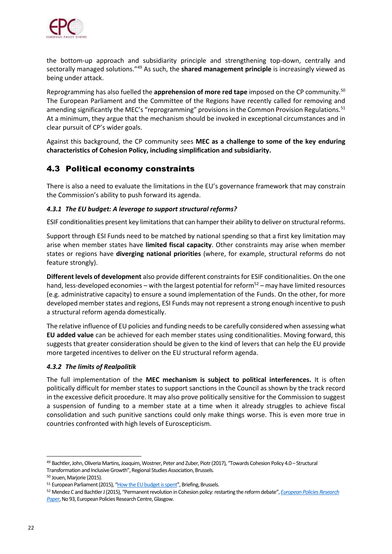

the bottom-up approach and subsidiarity principle and strengthening top-down, centrally and sectorally managed solutions."<sup>49</sup> As such, the **shared management principle** is increasingly viewed as being under attack.

Reprogramming has also fuelled the **apprehension of more red tape** imposed on the CP community.<sup>50</sup> The European Parliament and the Committee of the Regions have recently called for removing and amending significantly the MEC's "reprogramming" provisions in the Common Provision Regulations.<sup>51</sup> At a minimum, they argue that the mechanism should be invoked in exceptional circumstances and in clear pursuit of CP's wider goals.

Against this background, the CP community sees **MEC as a challenge to some of the key enduring characteristics of Cohesion Policy, including simplification and subsidiarity.**

### 4.3 Political economy constraints

There is also a need to evaluate the limitations in the EU's governance framework that may constrain the Commission's ability to push forward its agenda.

### *4.3.1 The EU budget: A leverage to support structural reforms?*

ESIF conditionalities present key limitations that can hamper their ability to deliver on structural reforms.

Support through ESI Funds need to be matched by national spending so that a first key limitation may arise when member states have **limited fiscal capacity**. Other constraints may arise when member states or regions have **diverging national priorities** (where, for example, structural reforms do not feature strongly).

**Different levels of development** also provide different constraints for ESIF conditionalities. On the one hand, less-developed economies – with the largest potential for reform<sup>52</sup> – may have limited resources (e.g. administrative capacity) to ensure a sound implementation of the Funds. On the other, for more developed member states and regions, ESI Funds may not represent a strong enough incentive to push a structural reform agenda domestically.

The relative influence of EU policies and funding needs to be carefully considered when assessing what **EU added value** can be achieved for each member states using conditionalities. Moving forward, this suggests that greater consideration should be given to the kind of levers that can help the EU provide more targeted incentives to deliver on the EU structural reform agenda.

### *4.3.2 The limits of Realpolitik*

The full implementation of the **MEC mechanism is subject to political interferences.** It is often politically difficult for member states to support sanctions in the Council as shown by the track record in the excessive deficit procedure. It may also prove politically sensitive for the Commission to suggest a suspension of funding to a member state at a time when it already struggles to achieve fiscal consolidation and such punitive sanctions could only make things worse. This is even more true in countries confronted with high levels of Euroscepticism.

<sup>49</sup> Bachtler, John, Oliveria Martins, Joaquim, Wostner, Peter and Zuber, Piotr (2017), "[Towards Cohesion Policy 4.0](http://www.regionalstudies.org/uploads/documents/RSA_Report_Web_22-6-17.pdf) – Structural [Transformation and Inclusive Growth](http://www.regionalstudies.org/uploads/documents/RSA_Report_Web_22-6-17.pdf)", Regional Studies Association, Brussels.

<sup>50</sup> Jouen, Marjorie (2015).

<sup>51</sup> European Parliament (2015), "[How the EU budget is spent](http://www.europarl.europa.eu/RegData/etudes/BRIE/2015/565873/EPRS_BRI%282015%29565873_EN.pdf)", Briefing, Brussels.

<sup>52</sup> Mendez C and Bachtler J (2015), "Permanent revolution in Cohesion policy: restarting the reform debate", *[European Policies Research](http://www.eprc.strath.ac.uk/eorpa/Documents/EoRPA_15_Conf/EPRP%2093.pdf)  [Paper](http://www.eprc.strath.ac.uk/eorpa/Documents/EoRPA_15_Conf/EPRP%2093.pdf)*, No 93, European Policies Research Centre, Glasgow.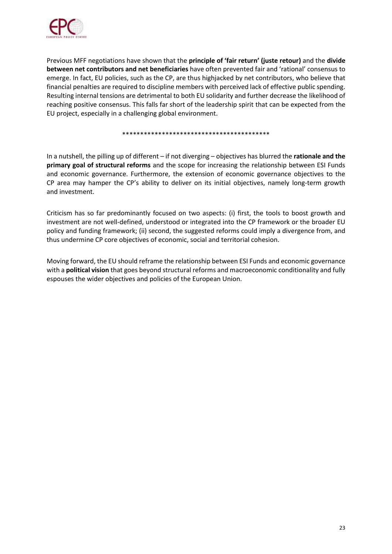

Previous MFF negotiations have shown that the **principle of 'fair return' (juste retour)** and the **divide between net contributors and net beneficiaries** have often prevented fair and 'rational' consensus to emerge. In fact, EU policies, such as the CP, are thus highjacked by net contributors, who believe that financial penalties are required to discipline members with perceived lack of effective public spending. Resulting internal tensions are detrimental to both EU solidarity and further decrease the likelihood of reaching positive consensus. This falls far short of the leadership spirit that can be expected from the EU project, especially in a challenging global environment.

#### \*\*\*\*\*\*\*\*\*\*\*\*\*\*\*\*\*\*\*\*\*\*\*\*\*\*\*\*\*\*\*\*\*\*\*\*\*\*\*\*\*

In a nutshell, the pilling up of different – if not diverging – objectives has blurred the **rationale and the primary goal of structural reforms** and the scope for increasing the relationship between ESI Funds and economic governance. Furthermore, the extension of economic governance objectives to the CP area may hamper the CP's ability to deliver on its initial objectives, namely long-term growth and investment.

Criticism has so far predominantly focused on two aspects: (i) first, the tools to boost growth and investment are not well-defined, understood or integrated into the CP framework or the broader EU policy and funding framework; (ii) second, the suggested reforms could imply a divergence from, and thus undermine CP core objectives of economic, social and territorial cohesion.

Moving forward, the EU should reframe the relationship between ESI Funds and economic governance with a **political vision** that goes beyond structural reforms and macroeconomic conditionality and fully espouses the wider objectives and policies of the European Union.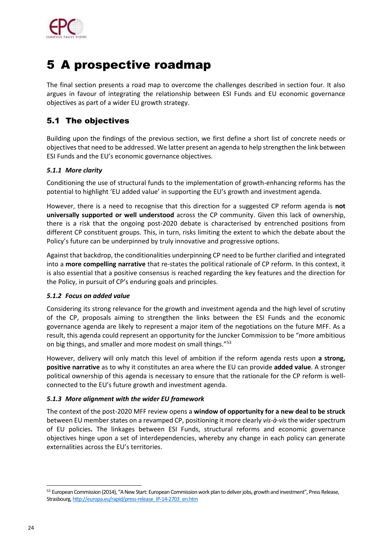

## 5 A prospective roadmap

The final section presents a road map to overcome the challenges described in section four. It also argues in favour of integrating the relationship between ESI Funds and EU economic governance objectives as part of a wider EU growth strategy.

### 5.1 The objectives

Building upon the findings of the previous section, we first define a short list of concrete needs or objectives that need to be addressed. We latter present an agenda to help strengthen the link between ESI Funds and the EU's economic governance objectives.

### *5.1.1 More clarity*

Conditioning the use of structural funds to the implementation of growth-enhancing reforms has the potential to highlight 'EU added value' in supporting the EU's growth and investment agenda.

However, there is a need to recognise that this direction for a suggested CP reform agenda is **not universally supported or well understood** across the CP community. Given this lack of ownership, there is a risk that the ongoing post-2020 debate is characterised by entrenched positions from different CP constituent groups. This, in turn, risks limiting the extent to which the debate about the Policy's future can be underpinned by truly innovative and progressive options.

Against that backdrop, the conditionalities underpinning CP need to be further clarified and integrated into a **more compelling narrative** that re-states the political rationale of CP reform. In this context, it is also essential that a positive consensus is reached regarding the key features and the direction for the Policy, in pursuit of CP's enduring goals and principles.

### *5.1.2 Focus on added value*

Considering its strong relevance for the growth and investment agenda and the high level of scrutiny of the CP, proposals aiming to strengthen the links between the ESI Funds and the economic governance agenda are likely to represent a major item of the negotiations on the future MFF. As a result, this agenda could represent an opportunity for the Juncker Commission to be "more ambitious on big things, and smaller and more modest on small things."<sup>53</sup>

However, delivery will only match this level of ambition if the reform agenda rests upon **a strong, positive narrative** as to why it constitutes an area where the EU can provide **added value**. A stronger political ownership of this agenda is necessary to ensure that the rationale for the CP reform is wellconnected to the EU's future growth and investment agenda.

### *5.1.3 More alignment with the wider EU framework*

The context of the post-2020 MFF review opens a **window of opportunity for a new deal to be struck**  between EU member states on a revamped CP, positioning it more clearly *vis-à-vis* the wider spectrum of EU policies**.** The linkages between ESI Funds, structural reforms and economic governance objectives hinge upon a set of interdependencies, whereby any change in each policy can generate externalities across the EU's territories.

<sup>53</sup> European Commission (2014), "A New Start: European Commission work plan to deliver jobs, growth and investment", Press Release, Strasbourg[, http://europa.eu/rapid/press-release\\_IP-14-2703\\_en.htm](http://europa.eu/rapid/press-release_IP-14-2703_en.htm)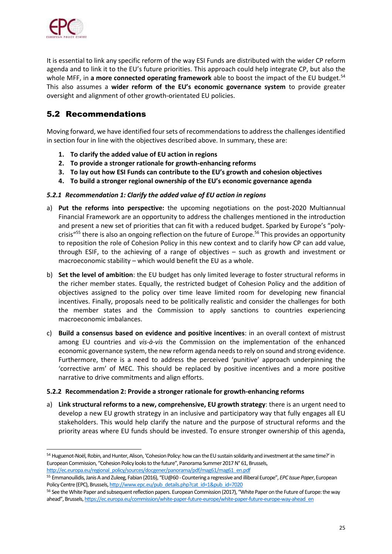

ł

It is essential to link any specific reform of the way ESI Funds are distributed with the wider CP reform agenda and to link it to the EU's future priorities. This approach could help integrate CP, but also the whole MFF, in **a more connected operating framework** able to boost the impact of the EU budget. 54 This also assumes a **wider reform of the EU's economic governance system** to provide greater oversight and alignment of other growth-orientated EU policies.

### 5.2 Recommendations

Moving forward, we have identified four sets of recommendations to address the challenges identified in section four in line with the objectives described above. In summary, these are:

- **1. To clarify the added value of EU action in regions**
- **2. To provide a stronger rationale for growth-enhancing reforms**
- **3. To lay out how ESI Funds can contribute to the EU's growth and cohesion objectives**
- **4. To build a stronger regional ownership of the EU's economic governance agenda**

### *5.2.1 Recommendation 1: Clarify the added value of EU action in regions*

- a) **Put the reforms into perspective:** the upcoming negotiations on the post-2020 Multiannual Financial Framework are an opportunity to address the challenges mentioned in the introduction and present a new set of priorities that can fit with a reduced budget. Sparked by Europe's "polycrisis<sup>"55</sup> there is also an ongoing reflection on the future of Europe.<sup>56</sup> This provides an opportunity to reposition the role of Cohesion Policy in this new context and to clarify how CP can add value, through ESIF, to the achieving of a range of objectives – such as growth and investment or macroeconomic stability – which would benefit the EU as a whole.
- b) **Set the level of ambition**: the EU budget has only limited leverage to foster structural reforms in the richer member states. Equally, the restricted budget of Cohesion Policy and the addition of objectives assigned to the policy over time leave limited room for developing new financial incentives. Finally, proposals need to be politically realistic and consider the challenges for both the member states and the Commission to apply sanctions to countries experiencing macroeconomic imbalances.
- c) **Build a consensus based on evidence and positive incentives**: in an overall context of mistrust among EU countries and *vis-à-vis* the Commission on the implementation of the enhanced economic governance system, the new reform agenda needs to rely on sound and strong evidence. Furthermore, there is a need to address the perceived 'punitive' approach underpinning the 'corrective arm' of MEC. This should be replaced by positive incentives and a more positive narrative to drive commitments and align efforts.

### **5.2.2 Recommendation 2: Provide a stronger rationale for growth-enhancing reforms**

a) **Link structural reforms to a new, comprehensive, EU growth strategy**: there is an urgent need to develop a new EU growth strategy in an inclusive and participatory way that fully engages all EU stakeholders. This would help clarify the nature and the purpose of structural reforms and the priority areas where EU funds should be invested. To ensure stronger ownership of this agenda,

<sup>54</sup> Huguenot-Noël, Robin, and Hunter, Alison, 'Cohesion Policy: how can the EU sustain solidarity and investment at the same time?' in European Commission, "Cohesion Policy looks to the future", Panorama Summer 2017 N° 61, Brussels, [http://ec.europa.eu/regional\\_policy/sources/docgener/panorama/pdf/mag61/mag61\\_en.pdf](http://ec.europa.eu/regional_policy/sources/docgener/panorama/pdf/mag61/mag61_en.pdf)

<sup>55</sup> Emmanouilidis, Janis A and Zuleeg, Fabian (2016), "EU@60 - Countering a regressive and illiberal Europe", *EPC Issue Paper*, European Policy Centre (EPC), Brussels[, http://www.epc.eu/pub\\_details.php?cat\\_id=1&pub\\_id=7020](http://www.epc.eu/pub_details.php?cat_id=1&pub_id=7020)

<sup>56</sup> See the White Paper and subsequent reflection papers. European Commission (2017), "White Paper on the Future of Europe: the way ahead", Brussels, [https://ec.europa.eu/commission/white-paper-future-europe/white-paper-future-europe-way-ahead\\_en](https://ec.europa.eu/commission/white-paper-future-europe/white-paper-future-europe-way-ahead_en)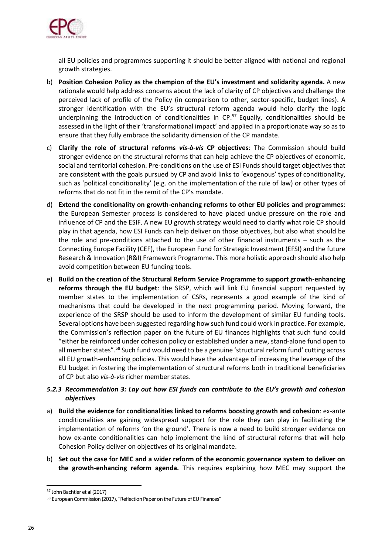

all EU policies and programmes supporting it should be better aligned with national and regional growth strategies.

- b) **Position Cohesion Policy as the champion of the EU's investment and solidarity agenda.** A new rationale would help address concerns about the lack of clarity of CP objectives and challenge the perceived lack of profile of the Policy (in comparison to other, sector-specific, budget lines). A stronger identification with the EU's structural reform agenda would help clarify the logic underpinning the introduction of conditionalities in CP. <sup>57</sup> Equally, conditionalities should be assessed in the light of their 'transformational impact' and applied in a proportionate way so as to ensure that they fully embrace the solidarity dimension of the CP mandate.
- c) **Clarify the role of structural reforms** *vis-à-vis* **CP objectives**: The Commission should build stronger evidence on the structural reforms that can help achieve the CP objectives of economic, social and territorial cohesion. Pre-conditions on the use of ESI Funds should target objectives that are consistent with the goals pursued by CP and avoid links to 'exogenous' types of conditionality, such as 'political conditionality' (e.g. on the implementation of the rule of law) or other types of reforms that do not fit in the remit of the CP's mandate.
- d) **Extend the conditionality on growth-enhancing reforms to other EU policies and programmes**: the European Semester process is considered to have placed undue pressure on the role and influence of CP and the ESIF. A new EU growth strategy would need to clarify what role CP should play in that agenda, how ESI Funds can help deliver on those objectives, but also what should be the role and pre-conditions attached to the use of other financial instruments – such as the Connecting Europe Facility (CEF), the European Fund for Strategic Investment (EFSI) and the future Research & Innovation (R&I) Framework Programme. This more holistic approach should also help avoid competition between EU funding tools.
- e) **Build on the creation of the Structural Reform Service Programme to support growth-enhancing reforms through the EU budget**: the SRSP, which will link EU financial support requested by member states to the implementation of CSRs, represents a good example of the kind of mechanisms that could be developed in the next programming period. Moving forward, the experience of the SRSP should be used to inform the development of similar EU funding tools. Several options have been suggested regarding how such fund could work in practice. For example, the Commission's reflection paper on the future of EU finances highlights that such fund could "either be reinforced under cohesion policy or established under a new, stand-alone fund open to all member states".<sup>58</sup> Such fund would need to be a genuine 'structural reform fund' cutting across all EU growth-enhancing policies. This would have the advantage of increasing the leverage of the EU budget in fostering the implementation of structural reforms both in traditional beneficiaries of CP but also *vis-à-vis* richer member states.

#### *5.2.3 Recommendation 3: Lay out how ESI funds can contribute to the EU's growth and cohesion objectives*

- a) **Build the evidence for conditionalities linked to reforms boosting growth and cohesion**: ex-ante conditionalities are gaining widespread support for the role they can play in facilitating the implementation of reforms 'on the ground'. There is now a need to build stronger evidence on how ex-ante conditionalities can help implement the kind of structural reforms that will help Cohesion Policy deliver on objectives of its original mandate.
- b) **Set out the case for MEC and a wider reform of the economic governance system to deliver on the growth-enhancing reform agenda.** This requires explaining how MEC may support the

<sup>57</sup> John Bachtler et al (2017)

<sup>58</sup> European Commission (2017), "Reflection Paper on the Future of EU Finances"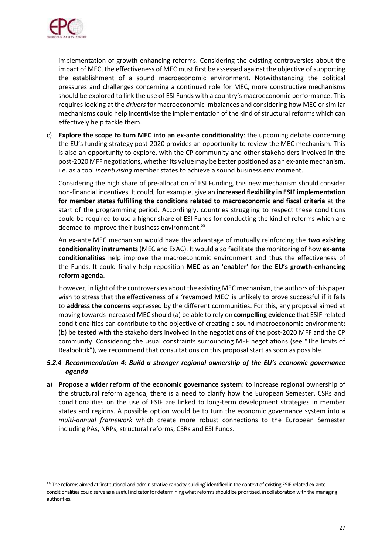

ł

implementation of growth-enhancing reforms. Considering the existing controversies about the impact of MEC, the effectiveness of MEC must first be assessed against the objective of supporting the establishment of a sound macroeconomic environment. Notwithstanding the political pressures and challenges concerning a continued role for MEC, more constructive mechanisms should be explored to link the use of ESI Funds with a country's macroeconomic performance. This requires looking at the *drivers* for macroeconomic imbalances and considering how MEC or similar mechanisms could help incentivise the implementation of the kind of structural reforms which can effectively help tackle them.

c) **Explore the scope to turn MEC into an ex-ante conditionality**: the upcoming debate concerning the EU's funding strategy post-2020 provides an opportunity to review the MEC mechanism. This is also an opportunity to explore, with the CP community and other stakeholders involved in the post-2020 MFF negotiations, whether its value may be better positioned as an ex-ante mechanism, i.e. as a tool *incentivising* member states to achieve a sound business environment.

Considering the high share of pre-allocation of ESI Funding, this new mechanism should consider non-financial incentives. It could, for example, give an **increased flexibility in ESIF implementation for member states fulfilling the conditions related to macroeconomic and fiscal criteria** at the start of the programming period. Accordingly, countries struggling to respect these conditions could be required to use a higher share of ESI Funds for conducting the kind of reforms which are deemed to improve their business environment.<sup>59</sup>

An ex-ante MEC mechanism would have the advantage of mutually reinforcing the **two existing conditionality instruments** (MEC and ExAC). It would also facilitate the monitoring of how **ex-ante conditionalities** help improve the macroeconomic environment and thus the effectiveness of the Funds. It could finally help reposition **MEC as an 'enabler' for the EU's growth-enhancing reform agenda**.

However, in light of the controversies about the existing MEC mechanism, the authors of this paper wish to stress that the effectiveness of a 'revamped MEC' is unlikely to prove successful if it fails to **address the concerns** expressed by the different communities. For this, any proposal aimed at moving towards increased MEC should (a) be able to rely on **compelling evidence** that ESIF-related conditionalities can contribute to the objective of creating a sound macroeconomic environment; (b) be **tested** with the stakeholders involved in the negotiations of the post-2020 MFF and the CP community. Considering the usual constraints surrounding MFF negotiations (see "The limits of Realpolitik"), we recommend that consultations on this proposal start as soon as possible.

#### *5.2.4 Recommendation 4: Build a stronger regional ownership of the EU's economic governance agenda*

a) **Propose a wider reform of the economic governance system**: to increase regional ownership of the structural reform agenda, there is a need to clarify how the European Semester, CSRs and conditionalities on the use of ESIF are linked to long-term development strategies in member states and regions. A possible option would be to turn the economic governance system into a *multi-annual framework* which create more robust connections to the European Semester including PAs, NRPs, structural reforms, CSRs and ESI Funds.

<sup>59</sup> The reforms aimed at 'institutional and administrative capacity building' identified in the context of existing ESIF-related ex-ante conditionalities could serve as a useful indicator for determining what reforms should be prioritised, in collaboration with the managing authorities.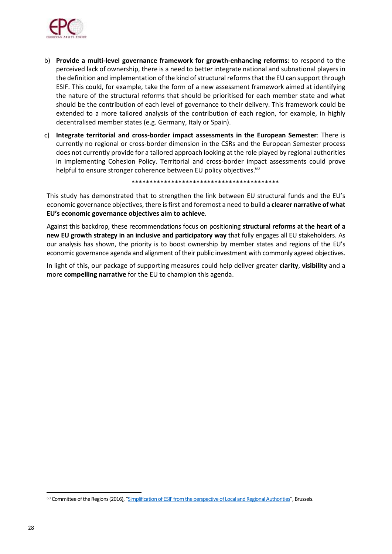

- b) **Provide a multi-level governance framework for growth-enhancing reforms**: to respond to the perceived lack of ownership, there is a need to better integrate national and subnational players in the definition and implementation of the kind of structural reforms that the EU can support through ESIF. This could, for example, take the form of a new assessment framework aimed at identifying the nature of the structural reforms that should be prioritised for each member state and what should be the contribution of each level of governance to their delivery. This framework could be extended to a more tailored analysis of the contribution of each region, for example, in highly decentralised member states (e.g. Germany, Italy or Spain).
- c) **Integrate territorial and cross-border impact assessments in the European Semester**: There is currently no regional or cross-border dimension in the CSRs and the European Semester process does not currently provide for a tailored approach looking at the role played by regional authorities in implementing Cohesion Policy. Territorial and cross-border impact assessments could prove helpful to ensure stronger coherence between EU policy objectives.<sup>60</sup>

\*\*\*\*\*\*\*\*\*\*\*\*\*\*\*\*\*\*\*\*\*\*\*\*\*\*\*\*\*\*\*\*\*\*\*\*\*\*\*\*\*

This study has demonstrated that to strengthen the link between EU structural funds and the EU's economic governance objectives, there is first and foremost a need to build a **clearer narrative of what EU's economic governance objectives aim to achieve**.

Against this backdrop, these recommendations focus on positioning **structural reforms at the heart of a new EU growth strategy in an inclusive and participatory way** that fully engages all EU stakeholders. As our analysis has shown, the priority is to boost ownership by member states and regions of the EU's economic governance agenda and alignment of their public investment with commonly agreed objectives.

In light of this, our package of supporting measures could help deliver greater **clarity**, **visibility** and a more **compelling narrative** for the EU to champion this agenda.

<sup>60</sup> Committee of the Regions (2016), "[Simplification of ESIF from the perspective of Local and Regional Authorities](http://cor.europa.eu/en/activities/opinions/pages/opinion-factsheet.aspx?OpinionNumber=CDR%208/2016)", Brussels.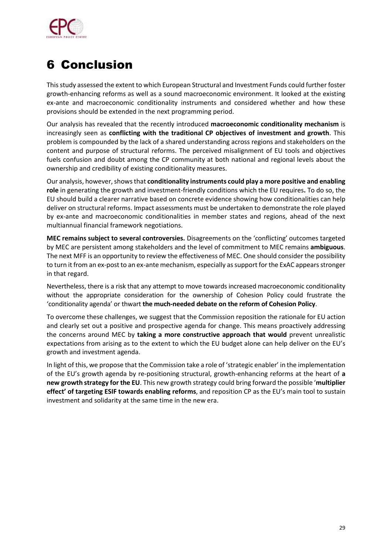

# 6 Conclusion

Thisstudy assessed the extent to which European Structural and Investment Funds could further foster growth-enhancing reforms as well as a sound macroeconomic environment. It looked at the existing ex-ante and macroeconomic conditionality instruments and considered whether and how these provisions should be extended in the next programming period.

Our analysis has revealed that the recently introduced **macroeconomic conditionality mechanism** is increasingly seen as **conflicting with the traditional CP objectives of investment and growth**. This problem is compounded by the lack of a shared understanding across regions and stakeholders on the content and purpose of structural reforms. The perceived misalignment of EU tools and objectives fuels confusion and doubt among the CP community at both national and regional levels about the ownership and credibility of existing conditionality measures.

Our analysis, however, showsthat **conditionality instruments could play a more positive and enabling role** in generating the growth and investment-friendly conditions which the EU requires**.** To do so, the EU should build a clearer narrative based on concrete evidence showing how conditionalities can help deliver on structural reforms. Impact assessments must be undertaken to demonstrate the role played by ex-ante and macroeconomic conditionalities in member states and regions, ahead of the next multiannual financial framework negotiations.

**MEC remains subject to several controversies.** Disagreements on the 'conflicting' outcomes targeted by MEC are persistent among stakeholders and the level of commitment to MEC remains **ambiguous**. The next MFF is an opportunity to review the effectiveness of MEC. One should consider the possibility to turn it from an ex-post to an ex-ante mechanism, especially as support for the ExAC appears stronger in that regard.

Nevertheless, there is a risk that any attempt to move towards increased macroeconomic conditionality without the appropriate consideration for the ownership of Cohesion Policy could frustrate the 'conditionality agenda' or thwart **the much-needed debate on the reform of Cohesion Policy**.

To overcome these challenges, we suggest that the Commission reposition the rationale for EU action and clearly set out a positive and prospective agenda for change. This means proactively addressing the concerns around MEC by **taking a more constructive approach that would** prevent unrealistic expectations from arising as to the extent to which the EU budget alone can help deliver on the EU's growth and investment agenda.

In light of this, we propose that the Commission take a role of 'strategic enabler' in the implementation of the EU's growth agenda by re-positioning structural, growth-enhancing reforms at the heart of **a new growth strategy for the EU**. This new growth strategy could bring forward the possible '**multiplier effect' of targeting ESIF towards enabling reforms**, and reposition CP as the EU's main tool to sustain investment and solidarity at the same time in the new era.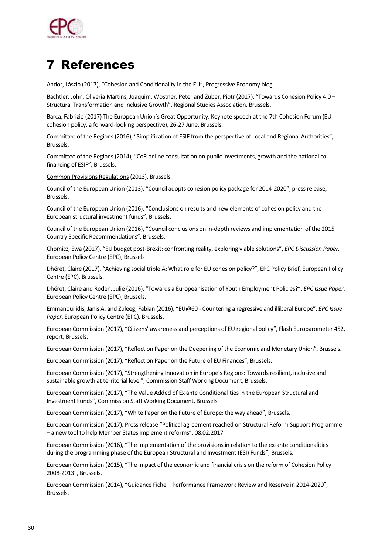

# 7 References

Andor, László (2017), "Cohesion and Conditionality in the EU", Progressive Economy blog.

Bachtler, John, Oliveria Martins, Joaquim, Wostner, Peter and Zuber, Piotr (2017), "Towards Cohesion Policy 4.0 – Structural Transformation and Inclusive Growth", Regional Studies Association, Brussels.

Barca, Fabrizio (2017) The European Union's Great Opportunity. Keynote speech at the 7th Cohesion Forum (EU cohesion policy, a forward-looking perspective), 26-27 June, Brussels.

Committee of the Regions (2016), "Simplification of ESIF from the perspective of Local and Regional Authorities", Brussels.

Committee of the Regions (2014), "CoR online consultation on public investments, growth and the national cofinancing of ESIF", Brussels.

[Common Provisions Regulations\(](http://eur-lex.europa.eu/legal-content/EN/TXT/PDF/?uri=CELEX:32013R1303&from=EN)2013), Brussels.

Council of the European Union (2013), "Council adopts cohesion policy package for 2014-2020", press release, Brussels.

Council of the European Union (2016), "Conclusions on results and new elements of cohesion policy and the European structural investment funds", Brussels.

Council of the European Union (2016), "Council conclusions on in-depth reviews and implementation of the 2015 Country Specific Recommendations", Brussels.

Chomicz, Ewa (2017), "EU budget post-Brexit: confronting reality, exploring viable solutions", *EPC Discussion Paper,* European Policy Centre (EPC), Brussels

Dhéret, Claire (2017), "Achieving social triple A: What role for EU cohesion policy?", EPC Policy Brief, European Policy Centre (EPC), Brussels.

Dhéret, Claire and Roden, Julie (2016), "Towards a Europeanisation of Youth Employment Policies?", *EPC Issue Paper*, European Policy Centre (EPC), Brussels.

Emmanouilidis, Janis A. and Zuleeg, Fabian (2016), "EU@60 - Countering a regressive and illiberal Europe", *EPC Issue Paper*, European Policy Centre (EPC), Brussels.

European Commission (2017), "Citizens' awareness and perceptions of EU regional policy", Flash Eurobarometer 452, report, Brussels.

European Commission (2017), "Reflection Paper on the Deepening of the Economic and Monetary Union", Brussels.

European Commission (2017), "Reflection Paper on the Future of EU Finances", Brussels.

European Commission (2017), "Strengthening Innovation in Europe's Regions: Towards resilient, inclusive and sustainable growth at territorial level", Commission Staff Working Document, Brussels.

European Commission (2017), "The Value Added of Ex ante Conditionalities in the European Structural and Investment Funds", Commission Staff Working Document, Brussels.

European Commission (2017), "White Paper on the Future of Europe: the way ahead", Brussels.

European Commission (2017)[, Press release](http://europa.eu/rapid/press-release_IP-17-233_en.htm) "Political agreement reached on Structural Reform Support Programme – a new tool to help Member States implement reforms", 08.02.2017

European Commission (2016), "The implementation of the provisions in relation to the ex-ante conditionalities during the programming phase of the European Structural and Investment (ESI) Funds", Brussels.

European Commission (2015), "The impact of the economic and financial crisis on the reform of Cohesion Policy 2008-2013", Brussels.

European Commission (2014), "Guidance Fiche – Performance Framework Review and Reserve in 2014-2020", Brussels.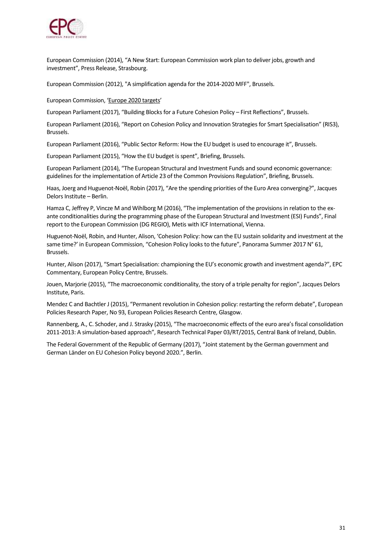

European Commission (2014), "A New Start: European Commission work plan to deliver jobs, growth and investment", Press Release, Strasbourg.

European Commission (2012), "A simplification agenda for the 2014-2020 MFF", Brussels.

European Commission, '[Europe 2020 targets](http://ec.europa.eu/europe2020/targets/eu-targets/index_en.htm)'

European Parliament (2017), "Building Blocks for a Future Cohesion Policy – First Reflections", Brussels.

European Parliament (2016), "Report on Cohesion Policy and Innovation Strategies for Smart Specialisation" (RIS3), Brussels.

European Parliament (2016), "Public Sector Reform: How the EU budget is used to encourage it", Brussels.

European Parliament (2015), "How the EU budget is spent", Briefing, Brussels.

European Parliament (2014), "The European Structural and Investment Funds and sound economic governance: guidelines for the implementation of Article 23 of the Common Provisions Regulation", Briefing, Brussels.

Haas, Joerg and Huguenot-Noël, Robin (2017), "Are the spending priorities of the Euro Area converging?", Jacques Delors Institute – Berlin.

Hamza C, Jeffrey P, Vincze M and Wihlborg M (2016), "The implementation of the provisions in relation to the exante conditionalities during the programming phase of the European Structural and Investment (ESI) Funds", Final report to the European Commission (DG REGIO), Metis with ICF International, Vienna.

Huguenot-Noël, Robin, and Hunter, Alison, 'Cohesion Policy: how can the EU sustain solidarity and investment at the same time?' in European Commission, "Cohesion Policy looks to the future", Panorama Summer 2017 N° 61, Brussels.

Hunter, Alison (2017), "Smart Specialisation: championing the EU's economic growth and investment agenda?", EPC Commentary, European Policy Centre, Brussels.

Jouen, Marjorie (2015), "The macroeconomic conditionality, the story of a triple penalty for region", Jacques Delors Institute, Paris.

Mendez C and Bachtler J (2015), "Permanent revolution in Cohesion policy: restarting the reform debate", European Policies Research Paper, No 93, European Policies Research Centre, Glasgow.

Rannenberg, A., C. Schoder, and J. Strasky (2015), "The macroeconomic effects of the euro area's fiscal consolidation 2011-2013: A simulation-based approach", Research Technical Paper 03/RT/2015, Central Bank of Ireland, Dublin.

The Federal Government of the Republic of Germany (2017), "Joint statement by the German government and German Länder on EU Cohesion Policy beyond 2020.", Berlin.